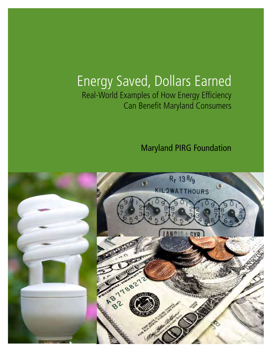# Energy Saved, Dollars Earned Real-World Examples of How Energy Efficiency Can Benefit Maryland Consumers

Maryland PIRG Foundation

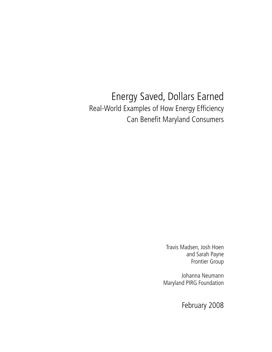# Energy Saved, Dollars Earned Real-World Examples of How Energy Efficiency Can Benefit Maryland Consumers

Travis Madsen, Josh Hoen and Sarah Payne Frontier Group

Johanna Neumann Maryland PIRG Foundation

February 2008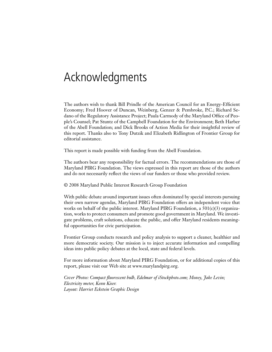# Acknowledgments

The authors wish to thank Bill Prindle of the American Council for an Energy-Efficient Economy; Fred Hoover of Duncan, Weinberg, Genzer & Pembroke, P.C.; Richard Sedano of the Regulatory Assistance Project; Paula Carmody of the Maryland Office of People's Counsel; Pat Stuntz of the Campbell Foundation for the Environment; Beth Harber of the Abell Foundation; and Dick Brooks of Action Media for their insightful review of this report. Thanks also to Tony Dutzik and Elizabeth Ridlington of Frontier Group for editorial assistance.

This report is made possible with funding from the Abell Foundation.

The authors bear any responsibility for factual errors. The recommendations are those of Maryland PIRG Foundation. The views expressed in this report are those of the authors and do not necessarily reflect the views of our funders or those who provided review.

© 2008 Maryland Public Interest Research Group Foundation

With public debate around important issues often dominated by special interests pursuing their own narrow agendas, Maryland PIRG Foundation offers an independent voice that works on behalf of the public interest. Maryland PIRG Foundation, a  $501(c)(3)$  organization, works to protect consumers and promote good government in Maryland. We investigate problems, craft solutions, educate the public, and offer Maryland residents meaningful opportunities for civic participation.

Frontier Group conducts research and policy analysis to support a cleaner, healthier and more democratic society. Our mission is to inject accurate information and compelling ideas into public policy debates at the local, state and federal levels.

For more information about Maryland PIRG Foundation, or for additional copies of this report, please visit our Web site at www.marylandpirg.org.

*Cover Photos: Compact fluorescent bulb, Edelmar of iStockphoto.com; Money, Jake Levin; Electricity meter, Kenn Kiser. Layout: Harriet Eckstein Graphic Design*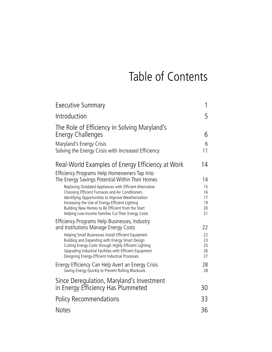# Table of Contents

| <b>Executive Summary</b>                                                                                                                                                                                                                                                         | 1                          |
|----------------------------------------------------------------------------------------------------------------------------------------------------------------------------------------------------------------------------------------------------------------------------------|----------------------------|
| Introduction                                                                                                                                                                                                                                                                     | 5                          |
| The Role of Efficiency in Solving Maryland's<br>Energy Challenges                                                                                                                                                                                                                | 6                          |
| Maryland's Energy Crisis<br>Solving the Energy Crisis with Increased Efficiency                                                                                                                                                                                                  | 6<br>11                    |
| Real-World Examples of Energy Efficiency at Work<br>Efficiency Programs Help Homeowners Tap Into                                                                                                                                                                                 | 14                         |
| The Energy Savings Potential Within Their Homes                                                                                                                                                                                                                                  | 14                         |
| Replacing Outdated Appliances with Efficient Alternative<br>Choosing Efficient Furnaces and Air Conditioners                                                                                                                                                                     | 15<br>16<br>17             |
| Identifying Opportunities to Improve Weatherization<br>Increasing the Use of Energy-Efficient Lighting<br>Building New Homes to Be Efficient from the Start<br>Helping Low-Income Families Cut Their Energy Costs                                                                | 19<br>20<br>21             |
| Efficiency Programs Help Businesses, Industry<br>and Institutions Manage Energy Costs                                                                                                                                                                                            | 22                         |
| Helping Small Businesses Install Efficient Equipment<br>Building and Expanding with Energy Smart Design<br>Cutting Energy Costs through Highly Efficient Lighting<br>Upgrading Industrial Facilities with Efficient Equipment<br>Designing Energy-Efficient Industrial Processes | 22<br>23<br>25<br>26<br>27 |
| Energy Efficiency Can Help Avert an Energy Crisis<br>Saving Energy Quickly to Prevent Rolling Blackouts                                                                                                                                                                          | 28<br>28                   |
| Since Deregulation, Maryland's Investment<br>in Energy Efficiency Has Plummeted                                                                                                                                                                                                  | 30                         |
| <b>Policy Recommendations</b>                                                                                                                                                                                                                                                    | 33                         |
| <b>Notes</b>                                                                                                                                                                                                                                                                     | 36                         |
|                                                                                                                                                                                                                                                                                  |                            |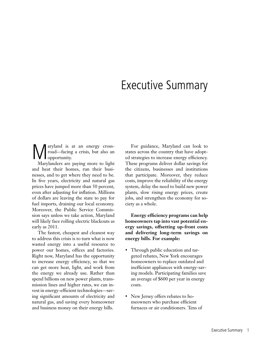# Executive Summary

**Maryland is at an energy cross-**<br>road—facing a crisis, but also an opportunity. road—facing a crisis, but also an opportunity.

Marylanders are paying more to light and heat their homes, run their businesses, and to get where they need to be. In five years, electricity and natural gas prices have jumped more than 50 percent, even after adjusting for inflation. Millions of dollars are leaving the state to pay for fuel imports, draining our local economy. Moreover, the Public Service Commission says unless we take action, Maryland will likely face rolling electric blackouts as early as 2011.

The fastest, cheapest and cleanest way to address this crisis is to turn what is now wasted energy into a useful resource to power our homes, offices and factories. Right now, Maryland has the opportunity to increase energy efficiency, so that we can get more heat, light, and work from the energy we already use. Rather than spend billions on new power plants, transmission lines and higher rates, we can invest in energy-efficient technologies—saving significant amounts of electricity and natural gas, and saving every homeowner and business money on their energy bills.

For guidance, Maryland can look to states across the country that have adopted strategies to increase energy efficiency. These programs deliver dollar savings for the citizens, businesses and institutions that participate. Moreover, they reduce costs, improve the reliability of the energy system, delay the need to build new power plants, slow rising energy prices, create jobs, and strengthen the economy for society as a whole.

**Energy efficiency programs can help homeowners tap into vast potential energy savings, offsetting up-front costs and delivering long-term savings on energy bills. For example:**

- Through public education and targeted rebates, New York encourages homeowners to replace outdated and inefficient appliances with energy-saving models. Participating families save an average of \$600 per year in energy costs.
- New Jersey offers rebates to homeowners who purchase efficient furnaces or air conditioners. Tens of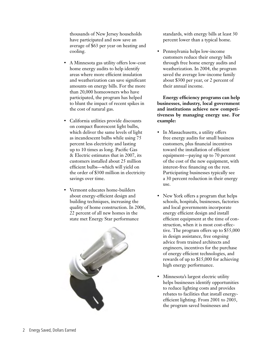thousands of New Jersey households have participated and now save an average of \$63 per year on heating and cooling.

- A Minnesota gas utility offers low-cost home energy audits to help identify areas where more efficient insulation and weatherization can save significant amounts on energy bills. For the more than 20,000 homeowners who have participated, the program has helped to blunt the impact of recent spikes in the cost of natural gas.
- California utilities provide discounts on compact fluorescent light bulbs, which deliver the same levels of light as incandescent bulbs while using 75 percent less electricity and lasting up to 10 times as long. Pacific Gas & Electric estimates that in 2007, its customers installed about 25 million efficient bulbs—which will yield on the order of \$300 million in electricity savings over time.
- Vermont educates home-builders about energy-efficient design and building techniques, increasing the quality of home construction. In 2006, 22 percent of all new homes in the state met Energy Star performance



standards, with energy bills at least 30 percent lower than a typical home.

• Pennsylvania helps low-income customers reduce their energy bills through free home energy audits and weatherization. In 2004, the program saved the average low-income family about \$300 per year, or 2 percent of their annual income.

**Energy efficiency programs can help businesses, industry, local government and institutions achieve new competitiveness by managing energy use. For example:**

- In Massachusetts, a utility offers free energy audits for small business customers, plus financial incentives toward the installation of efficient equipment—paying up to 70 percent of the cost of the new equipment, with interest-free financing on the rest. Participating businesses typically see a 30 percent reduction in their energy use.
- New York offers a program that helps schools, hospitals, businesses, factories and local governments incorporate energy efficient design and install efficient equipment at the time of construction, when it is most cost-effective. The program offers up to \$55,000 in design assistance, free ongoing advice from trained architects and engineers, incentives for the purchase of energy efficient technologies, and rewards of up to \$15,000 for achieving high energy performance.
- Minnesota's largest electric utility helps businesses identify opportunities to reduce lighting costs and provides rebates to facilities that install energyefficient lighting. From 2001 to 2003, the program saved businesses and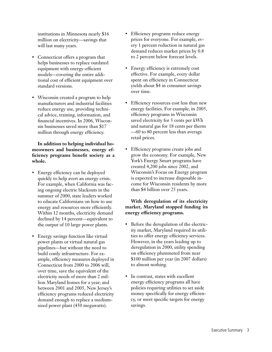institutions in Minnesota nearly \$16 million on electricity—savings that will last many years.

- Connecticut offers a program that helps businesses to replace outdated equipment with energy-efficient models—covering the entire additional cost of efficient equipment over standard versions.
- Wisconsin created a program to help manufacturers and industrial facilities reduce energy use, providing technical advice, training, information, and financial incentives. In 2006, Wisconsin businesses saved more than \$17 million through energy efficiency.

**In addition to helping individual homeowners and businesses, energy efficiency programs benefit society as a whole.**

- Energy efficiency can be deployed quickly to help avert an energy crisis. For example, when California was facing ongoing electric blackouts in the summer of 2000, state leaders worked to educate Californians on how to use energy and resources more efficiently. Within 12 months, electricity demand declined by 14 percent—equivalent to the output of 10 large power plants.
- Energy savings function like virtual power plants or virtual natural gas pipelines—but without the need to build costly infrastructure. For example, efficiency measures deployed in Connecticut from 2000 to 2006 will, over time, save the equivalent of the electricity needs of more than 2 million Maryland homes for a year; and between 2001 and 2005, New Jersey's efficiency programs reduced electricity demand enough to replace a mediumsized power plant (450 megawatts).
- Efficiency programs reduce energy prices for everyone. For example, every 1 percent reduction in natural gas demand reduces market prices by 0.8 to 2 percent below forecast levels.
- Energy efficiency is extremely cost effective. For example, every dollar spent on efficiency in Connecticut yields about \$4 in consumer savings over time.
- Efficiency resources cost less than new energy facilities. For example, in 2005, efficiency programs in Wisconsin saved electricity for 3 cents per kWh and natural gas for 18 cents per therm —60 to 80 percent less than average retail prices.
- Efficiency programs create jobs and grow the economy. For example, New York's Energy Smart programs have created 4,200 jobs since 2002, and Wisconsin's Focus on Energy program is expected to increase disposable income for Wisconsin residents by more than \$4 billion over 25 years.

### **With deregulation of its electricity market, Maryland stopped funding its energy efficiency programs.**

- Before the deregulation of the electricity market, Maryland required its utilities to offer energy efficiency services. However, in the years leading up to deregulation in 2000, utility spending on efficiency plummeted from near \$100 million per year (in 2007 dollars) to almost nothing.
- In contrast, states with excellent energy efficiency programs all have policies requiring utilities to set aside money specifically for energy efficiency, or meet specific targets for energy savings.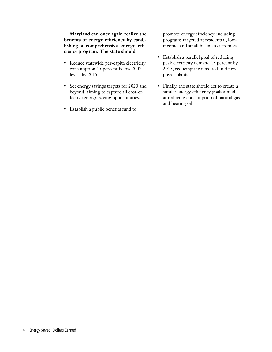**Maryland can once again realize the benefits of energy efficiency by establishing a comprehensive energy efficiency program. The state should:**

- Reduce statewide per-capita electricity consumption 15 percent below 2007 levels by 2015.
- Set energy savings targets for 2020 and beyond, aiming to capture all cost-effective energy-saving opportunities.
- Establish a public benefits fund to

promote energy efficiency, including programs targeted at residential, lowincome, and small business customers.

- Establish a parallel goal of reducing peak electricity demand 15 percent by 2015, reducing the need to build new power plants.
- Finally, the state should act to create a similar energy efficiency goals aimed at reducing consumption of natural gas and heating oil.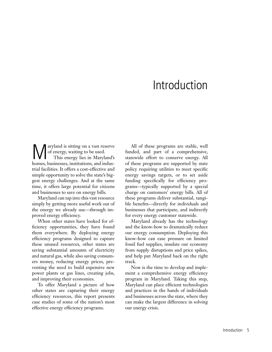# Introduction

aryland is sitting on a vast reserve of energy, waiting to be used. This energy lies in Maryland's homes, businesses, institutions, and industrial facilities. It offers a cost-effective and simple opportunity to solve the state's biggest energy challenges. And at the same time, it offers large potential for citizens and businesses to save on energy bills.

Maryland can tap into this vast resource simply by getting more useful work out of the energy we already use—through improved energy efficiency.

When other states have looked for efficiency opportunities, they have found them everywhere. By deploying energy efficiency programs designed to capture these unused resources, other states are saving substantial amounts of electricity and natural gas, while also saving consumers money, reducing energy prices, preventing the need to build expensive new power plants or gas lines, creating jobs, and improving their economies.

To offer Maryland a picture of how other states are capturing their energy efficiency resources, this report presents case studies of some of the nation's most effective energy efficiency programs.

All of these programs are stable, well funded, and part of a comprehensive, statewide effort to conserve energy. All of these programs are supported by state policy requiring utilities to meet specific energy savings targets, or to set aside funding specifically for efficiency programs—typically supported by a special charge on customers' energy bills. All of these programs deliver substantial, tangible benefits—directly for individuals and businesses that participate, and indirectly for every energy customer statewide.

Maryland already has the technology and the know-how to dramatically reduce our energy consumption. Deploying this know-how can ease pressure on limited fossil fuel supplies, insulate our economy from supply disruptions and price spikes, and help put Maryland back on the right track.

Now is the time to develop and implement a comprehensive energy efficiency program in Maryland. Taking this step, Maryland can place efficient technologies and practices in the hands of individuals and businesses across the state, where they can make the largest difference in solving our energy crisis.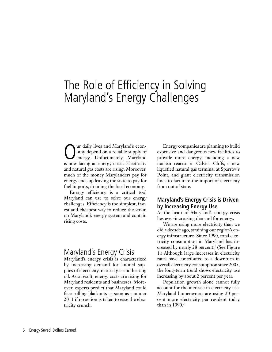# The Role of Efficiency in Solving Maryland's Energy Challenges

Our daily lives and Maryland's econ-<br>
omy depend on a reliable supply of<br>
energy. Unfortunately, Maryland<br>
is now fecing an energy crisis Electricity omy depend on a reliable supply of energy. Unfortunately, Maryland is now facing an energy crisis. Electricity and natural gas costs are rising. Moreover, much of the money Marylanders pay for energy ends up leaving the state to pay for fuel imports, draining the local economy.

Energy efficiency is a critical tool Maryland can use to solve our energy challenges. Efficiency is the simplest, fastest and cheapest way to reduce the strain on Maryland's energy system and contain rising costs.

# Maryland's Energy Crisis

Maryland's energy crisis is characterized by increasing demand for limited supplies of electricity, natural gas and heating oil. As a result, energy costs are rising for Maryland residents and businesses. Moreover, experts predict that Maryland could face rolling blackouts as soon as summer 2011 if no action is taken to ease the electricity crunch.

Energy companies are planning to build expensive and dangerous new facilities to provide more energy, including a new nuclear reactor at Calvert Cliffs, a new liquefied natural gas terminal at Sparrow's Point, and giant electricity transmission lines to facilitate the import of electricity from out of state.

## **Maryland's Energy Crisis is Driven by Increasing Energy Use**

At the heart of Maryland's energy crisis lies ever-increasing demand for energy.

We are using more electricity than we did a decade ago, straining our region's energy infrastructure. Since 1990, total electricity consumption in Maryland has increased by nearly 28 percent.<sup>1</sup> (See Figure 1.) Although large increases in electricity rates have contributed to a downturn in overall electricity consumption since 2005, the long-term trend shows electricity use increasing by about 2 percent per year.

Population growth alone cannot fully account for the increase in electricity use. Maryland homeowners are using 20 percent more electricity per resident today than in  $1990.<sup>2</sup>$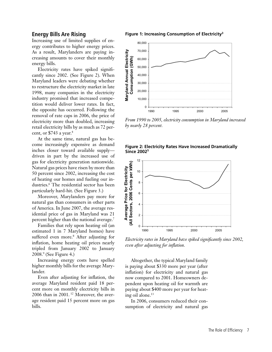### **Energy Bills Are Rising**

Increasing use of limited supplies of energy contributes to higher energy prices. As a result, Marylanders are paying increasing amounts to cover their monthly energy bills.

Electricity rates have spiked significantly since 2002. (See Figure 2). When Maryland leaders were debating whether to restructure the electricity market in late 1998, many companies in the electricity industry promised that increased competition would deliver lower rates. In fact, the opposite has occurred. Following the removal of rate caps in 2006, the price of electricity more than doubled, increasing retail electricity bills by as much as 72 percent, or \$743 a year.4

At the same time, natural gas has become increasingly expensive as demand inches closer toward available supply driven in part by the increased use of gas for electricity generation nationwide. Natural gas prices have risen by more than 50 percent since 2002, increasing the cost of heating our homes and fueling our industries.6 The residential sector has been particularly hard-hit. (See Figure 3.)

Moreover, Marylanders pay more for natural gas than consumers in other parts of America. In June 2007, the average residential price of gas in Maryland was 21 percent higher than the national average.<sup>7</sup>

Families that rely upon heating oil (an estimated 1 in 7 Maryland homes) have suffered even more.<sup>8</sup> After adjusting for inflation, home heating oil prices nearly tripled from January 2002 to January 2008.9 (See Figure 4.)

Increasing energy costs have spelled higher monthly bills for the average Marylander.

Even after adjusting for inflation, the average Maryland resident paid 18 percent more on monthly electricity bills in 2006 than in 2001. 12 Moreover, the average resident paid 15 percent more on gas bills.

**Figure 1: Increasing Consumption of Electricity3**



*From 1990 to 2005, electricity consumption in Maryland increased by nearly 28 percent.*

#### **Figure 2: Electricity Rates Have Increased Dramatically Since 20025**



*Electricity rates in Maryland have spiked significantly since 2002, even after adjusting for inflation.*

Altogether, the typical Maryland family is paying about \$330 more per year (after inflation) for electricity and natural gas now compared to 2001. Homeowners dependent upon heating oil for warmth are paying about \$400 more per year for heating oil alone.<sup>13</sup>

In 2006, consumers reduced their consumption of electricity and natural gas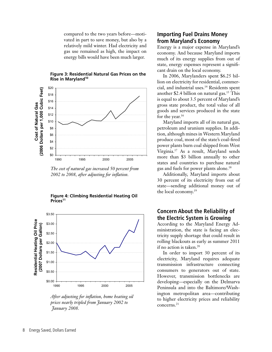compared to the two years before—motivated in part to save money, but also by a relatively mild winter. Had electricity and gas use remained as high, the impact on energy bills would have been much larger.



#### **Figure 3: Residential Natural Gas Prices on the Rise in Maryland<sup>10</sup>**

*The cost of natural gas increased 50 percent from 2002 to 2008, after adjusting for inflation.*





*After adjusting for inflation, home heating oil prices nearly tripled from January 2002 to January 2008.*

### **Importing Fuel Drains Money from Maryland's Economy**

Energy is a major expense in Maryland's economy. And because Maryland imports much of its energy supplies from out of state, energy expenses represent a significant drain on the local economy.

In 2006, Marylanders spent \$6.25 billion on electricity for residential, commercial, and industrial uses.14 Residents spent another \$2.4 billion on natural gas.<sup>15</sup> This is equal to about 3.5 percent of Maryland's gross state product, the total value of all goods and services produced in the state for the year.<sup>16</sup>

Maryland imports all of its natural gas, petroleum and uranium supplies. In addition, although mines in Western Maryland produce coal, most of the state's coal-fired power plants burn coal shipped from West Virginia.17 As a result, Maryland sends more than \$3 billion annually to other states and countries to purchase natural gas and fuels for power plants alone.18

Additionally, Maryland imports about 30 percent of its electricity from out of state—sending additional money out of the local economy.19

### **Concern About the Reliability of the Electric System is Growing**

According to the Maryland Energy Administration, the state is facing an electricity supply shortage that could result in rolling blackouts as early as summer 2011 if no action is taken.<sup>20</sup>

In order to import 30 percent of its electricity, Maryland requires adequate transmission infrastructure connecting consumers to generators out of state. However, transmission bottlenecks are developing—especially on the Delmarva Peninsula and into the Baltimore/Washington metropolitan area—contributing to higher electricity prices and reliability concerns.21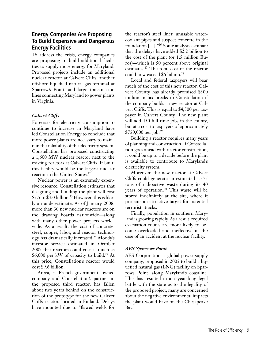## **Energy Companies Are Proposing To Build Expensive and Dangerous Energy Facilities**

To address the crisis, energy companies are proposing to build additional facilities to supply more energy for Maryland. Proposed projects include an additional nuclear reactor at Calvert Cliffs, another offshore liquefied natural gas terminal at Sparrow's Point, and large transmission lines connecting Maryland to power plants in Virginia.

### *Calvert Cliffs*

Forecasts for electricity consumption to continue to increase in Maryland have led Constellation Energy to conclude that more power plants are necessary to maintain the reliability of the electricity system. Constellation has proposed constructing a 1,600 MW nuclear reactor next to the existing reactors at Calvert Cliffs. If built, this facility would be the largest nuclear reactor in the United States.<sup>22</sup>

Nuclear power is an extremely expensive resource. Constellation estimates that designing and building the plant will cost \$2.5 to \$3.0 billion.<sup>23</sup> However, this is likely an underestimate. As of January 2008, more than 30 new nuclear reactors are on the drawing boards nationwide—along with many other power projects worldwide. As a result, the cost of concrete, steel, copper, labor, and reactor technology has dramatically increased.24 Moody's investor service estimated in October 2007 that reactors could cost as much as \$6,000 per kW of capacity to build.<sup>25</sup> At this price, Constellation's reactor would cost \$9.6 billion.

Areva, a French-government owned company and Constellation's partner in the proposed third reactor, has fallen about two years behind on the construction of the prototype for the new Calvert Cliffs reactor, located in Finland. Delays have mounted due to "flawed welds for the reactor's steel liner, unusable watercoolant pipes and suspect concrete in the foundation […]."26 Some analysts estimate that the delays have added \$2.2 billion to the cost of the plant (or 1.5 million Euros)—which is 50 percent above original estimates.27 The total cost of the reactor could now exceed \$6 billion.<sup>28</sup>

Local and federal taxpayers will bear much of the cost of this new reactor. Calvert County has already promised \$300 million in tax breaks to Constellation if the company builds a new reactor at Calvert Cliffs. This is equal to \$4,500 per taxpayer in Calvert County. The new plant will add 450 full-time jobs in the county, but at a cost to taxpayers of approximately \$750,000 per job.<sup>29</sup>

Building a reactor requires many years of planning and construction. If Constellation goes ahead with reactor construction, it could be up to a decade before the plant is available to contribute to Maryland's electricity system.

Moreover, the new reactor at Calvert Cliffs could generate an estimated 1,375 tons of radioactive waste during its 40 years of operation.30 This waste will be stored indefinitely at the site, where it presents an attractive target for potential terrorist attacks.

Finally, population in southern Maryland is growing rapidly. As a result, required evacuation routes are more likely to become overloaded and ineffective in the case of an accident at the nuclear facility.

### *AES Sparrows Point*

AES Corporation, a global power-supply company, proposed in 2005 to build a liquefied natural gas (LNG) facility on Sparrows Point, along Maryland's coastline. This has resulted in a 2-year-long legal battle with the state as to the legality of the proposed project; many are concerned about the negative environmental impacts the plant would have on the Chesapeake Bay.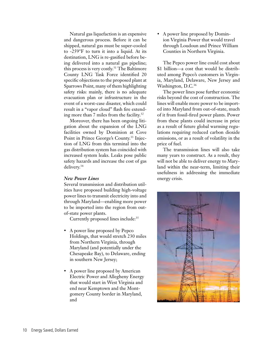Natural gas liquefaction is an expensive and dangerous process. Before it can be shipped, natural gas must be super-cooled to -259°F to turn it into a liquid. At its destination, LNG is re-gasified before being delivered into a natural gas pipeline; this process is very costly.<sup>31</sup> The Baltimore County LNG Task Force identified 20 specific objections to the proposed plant at Sparrows Point, many of them highlighting safety risks: mainly, there is no adequate evacuation plan or infrastructure in the event of a worst-case disaster, which could result in a "vapor cloud" flash fire extending more than 7 miles from the facility. $32$ 

Moreover, there has been ongoing litigation about the expansion of the LNG facilities owned by Dominion at Cove Point in Prince George's County.<sup>33</sup> Injection of LNG from this terminal into the gas distribution system has coincided with increased system leaks. Leaks pose public safety hazards and increase the cost of gas delivery.34

#### *New Power Lines*

Several transmission and distribution utilities have proposed building high-voltage power lines to transmit electricity into and through Maryland—enabling more power to be imported into the region from outof-state power plants.

Currently proposed lines include:<sup>35</sup>

- A power line proposed by Pepco Holdings, that would stretch 230 miles from Northern Virginia, through Maryland (and potentially under the Chesapeake Bay), to Delaware, ending in southern New Jersey;
- A power line proposed by American Electric Power and Allegheny Energy that would start in West Virginia and end near Kemptown and the Montgomery County border in Maryland, and

• A power line proposed by Dominion Virginia Power that would travel through Loudoun and Prince William Counties in Northern Virginia.

The Pepco power line could cost about \$1 billion—a cost that would be distributed among Pepco's customers in Virginia, Maryland, Delaware, New Jersey and Washington, D.C.<sup>36</sup>

The power lines pose further economic risks beyond the cost of construction. The lines will enable more power to be imported into Maryland from out-of-state, much of it from fossil-fired power plants. Power from these plants could increase in price as a result of future global warming regulations requiring reduced carbon dioxide emissions, or as a result of volatility in the price of fuel.

The transmission lines will also take many years to construct. As a result, they will not be able to deliver energy to Maryland within the near-term, limiting their usefulness in addressing the immediate energy crisis.

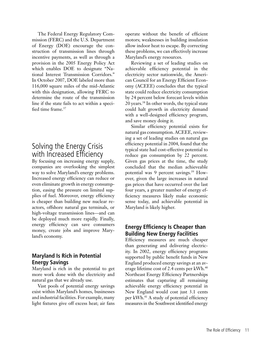The Federal Energy Regulatory Commission (FERC) and the U.S. Department of Energy (DOE) encourage the construction of transmission lines through incentive payments, as well as through a provision in the 2005 Energy Policy Act which enables DOE to designate "National Interest Transmission Corridors." In October 2007, DOE labeled more than 116,000 square miles of the mid-Atlantic with this designation, allowing FERC to determine the route of the transmission line if the state fails to act within a specified time frame.<sup>37</sup>

# Solving the Energy Crisis with Increased Efficiency

By focusing on increasing energy supply, companies are overlooking the simplest way to solve Maryland's energy problems. Increased energy efficiency can reduce or even eliminate growth in energy consumption, easing the pressure on limited supplies of fuel. Moreover, energy efficiency is cheaper than building new nuclear reactors, offshore natural gas terminals, or high-voltage transmission lines—and can be deployed much more rapidly. Finally, energy efficiency can save consumers money, create jobs and improve Maryland's economy.

## **Maryland Is Rich in Potential Energy Savings**

Maryland is rich in the potential to get more work done with the electricity and natural gas that we already use.

Vast pools of potential energy savings exist within Maryland's homes, businesses and industrial facilities. For example, many light fixtures give off excess heat; air fans operate without the benefit of efficient motors; weaknesses in building insulation allow indoor heat to escape. By correcting these problems, we can effectively increase Maryland's energy resources.

Reviewing a set of leading studies on achievable efficiency potential in the electricity sector nationwide, the American Council for an Energy Efficient Economy (ACEEE) concludes that the typical state could reduce electricity consumption by 24 percent below forecast levels within 20 years.38 In other words, the typical state could halt growth in electricity demand with a well-designed efficiency program, and save money doing it.

Similar efficiency potential exists for natural gas consumption. ACEEE, reviewing a set of leading studies on natural gas efficiency potential in 2004, found that the typical state had cost-effective potential to reduce gas consumption by 22 percent. Given gas prices at the time, the study concluded that the median achieveable potential was 9 percent savings.<sup>39</sup> However, given the large increases in natural gas prices that have occurred over the last four years, a greater number of energy efficiency measures likely make economic sense today, and achievable potential in Maryland is likely higher.

## **Energy Efficiency Is Cheaper than Building New Energy Facilities**

Efficiency measures are much cheaper than generating and delivering electricity. In 2002, energy efficiency programs supported by public benefit funds in New England produced energy savings at an average lifetime cost of 2.4 cents per kWh.<sup>40</sup> Northeast Energy Efficiency Partnerships estimates that capturing all remaining achievable energy efficiency potential in New England would cost just 3.1 cents per kWh.<sup>41</sup> A study of potential efficiency measures in the Southwest identified energy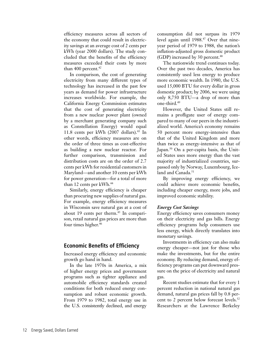efficiency measures across all sectors of the economy that could result in electricity savings at an average cost of 2 cents per kWh (year 2000 dollars). The study concluded that the benefits of the efficiency measures exceeded their costs by more than 400 percent. $42$ 

In comparison, the cost of generating electricity from many different types of technology has increased in the past few years as demand for power infrastructure increases worldwide. For example, the California Energy Commission estimates that the cost of generating electricity from a new nuclear power plant (owned by a merchant generating company such as Constellation Energy) would equal 11.8 cents per kWh  $(2007 \text{ dollars})$ .<sup>43</sup> In other words, efficiency measures are on the order of three times as cost-effective as building a new nuclear reactor. For further comparison, transmission and distribution costs are on the order of 2.7 cents per kWh for residential customers in Maryland—and another 10 cents per kWh for power generation—for a total of more than 12 cents per  $kWh.<sup>44</sup>$ 

Similarly, energy efficiency is cheaper than procuring new supplies of natural gas. For example, energy efficiency measures in Wisconsin save natural gas at a cost of about 19 cents per therm.<sup>45</sup> In comparison, retail natural gas prices are more than four times higher.<sup>46</sup>

### **Economic Benefits of Efficiency**

Increased energy efficiency and economic growth go hand in hand.

In the late 1970s in America, a mix of higher energy prices and government programs such as tighter appliance and automobile efficiency standards created conditions for both reduced energy consumption and robust economic growth. From 1979 to 1982, total energy use in the U.S. consistently declined, and energy

consumption did not surpass its 1979 level again until 1988.47 Over that nineyear period of 1979 to 1988, the nation's inflation-adjusted gross domestic product (GDP) increased by 30 percent.<sup>48</sup>

The nationwide trend continues today. Over the past two decades, America has consistently used less energy to produce more economic wealth. In 1980, the U.S. used 15,000 BTU for every dollar in gross domestic product; by 2006, we were using only 8,750 BTU—a drop of more than one-third.49

However, the United States still remains a profligate user of energy compared to many of our peers in the industrialized world. America's economy remains 50 percent more energy-intensive than that of the United Kingdom and more than twice as energy-intensive as that of Japan.<sup>50</sup> On a per-capita basis, the United States uses more energy than the vast majority of industrialized countries, surpassed only by Norway, Luxembourg, Iceland and Canada.<sup>51</sup>

By improving energy efficiency, we could achieve more economic benefits, including cheaper energy, more jobs, and improved economic stability.

### *Energy Cost Savings*

Energy efficiency saves consumers money on their electricity and gas bills. Energy efficiency programs help consumers use less energy, which directly translates into monetary savings.

Investments in efficiency can also make energy cheaper—not just for those who make the investments, but for the entire economy. By reducing demand, energy efficiency programs can put downward pressure on the price of electricity and natural gas.

Recent studies estimate that for every 1 percent reduction in national natural gas demand, natural gas prices fall by 0.8 percent to 2 percent below forecast levels.<sup>52</sup> Researchers at the Lawrence Berkeley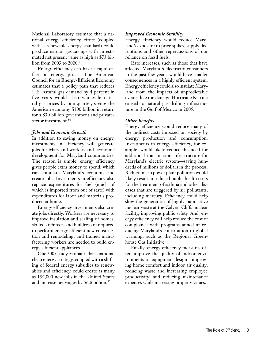National Laboratory estimate that a national energy efficiency effort (coupled with a renewable energy standard) could produce natural gas savings with an estimated net present value as high as \$73 billion from 2003 to 2020.53

Energy efficiency can have a rapid effect on energy prices. The American Council for an Energy-Efficient Economy estimates that a policy path that reduces U.S. natural gas demand by 4 percent in five years would slash wholesale natural gas prices by one quarter, saving the American economy \$100 billion in return for a \$30 billion government and privatesector investment.<sup>54</sup>

#### *Jobs and Economic Growth*

In addition to saving money on energy, investments in efficiency will generate jobs for Maryland workers and economic development for Maryland communities. The reason is simple: energy efficiency gives people extra money to spend, which can stimulate Maryland's economy and create jobs. Investments in efficiency also replace expenditures for fuel (much of which is imported from out of state) with expenditures for labor and materials produced at home.

Energy efficiency investments also create jobs directly. Workers are necessary to improve insulation and sealing of homes; skilled architects and builders are required to perform energy efficient new construction and remodeling; and trained manufacturing workers are needed to build energy-efficient appliances.

One 2005 study estimates that a national clean energy strategy, coupled with a shifting of federal energy subsidies to renewables and efficiency, could create as many as 154,000 new jobs in the United States and increase net wages by \$6.8 billion.<sup>55</sup>

#### *Improved Economic Stability*

Energy efficiency would reduce Maryland's exposure to price spikes, supply disruptions and other repercussions of our reliance on fossil fuels.

Rate increases, such as those that have affected Maryland's electricity consumers in the past few years, would have smaller consequences in a highly efficient system. Energy efficiency could also insulate Maryland from the impacts of unpredictable events, like the damage Hurricane Katrina caused to natural gas drilling infrastructure in the Gulf of Mexico in 2005.

### *Other Benefits*

Energy efficiency would reduce many of the indirect costs imposed on society by energy production and consumption. Investments in energy efficiency, for example, would likely reduce the need for additional transmission infrastructure for Maryland's electric system—saving hundreds of millions of dollars in the process. Reductions in power plant pollution would likely result in reduced public health costs for the treatment of asthma and other diseases that are triggered by air pollutants, including mercury. Efficiency could help slow the generation of highly radioactive nuclear waste at the Calvert Cliffs nuclear facility, improving public safety. And, energy efficiency will help reduce the cost of compliance with programs aimed at reducing Maryland's contribution to global warming, such as the Regional Greenhouse Gas Initiative.

Finally, energy efficiency measures often improve the quality of indoor environments or equipment design—improving home comfort and indoor air quality; reducing waste and increasing employee productivity; and reducing maintenance expenses while increasing property values.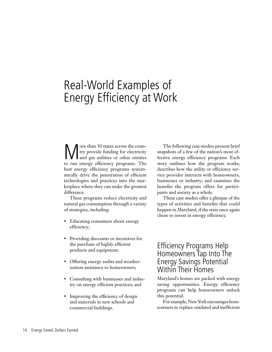# Real-World Examples of Energy Efficiency at Work

We ore than 30 states across the coun-<br>try provide funding for electricity<br>and gas utilities or other entities try provide funding for electricity and gas utilities or other entities to run energy efficiency programs. The best energy efficiency programs systematically drive the penetration of efficient technologies and practices into the marketplace where they can make the greatest difference.

These programs reduce electricity and natural gas consumption through a variety of strategies, including:

- Educating consumers about energy efficiency;
- Providing discounts or incentives for the purchase of highly efficient products and equipment;
- Offering energy audits and weatherization assistance to homeowners;
- Consulting with businesses and industry on energy efficient practices; and
- Improving the efficiency of design and materials in new schools and commercial buildings.

The following case studies present brief snapshots of a few of the nation's most effective energy efficiency programs. Each story outlines how the program works; describes how the utility or efficiency service provider interacts with homeowners, businesses or industry; and examines the benefits the program offers for participants and society as a whole.

These case studies offer a glimpse of the types of activities and benefits that could happen in Maryland, if the state once again chose to invest in energy efficiency.

# Efficiency Programs Help Homeowners Tap Into The Energy Savings Potential Within Their Homes

Maryland's homes are packed with energy saving opportunities. Energy efficiency programs can help homeowners unlock this potential.

For example, New York encourages homeowners to replace outdated and inefficient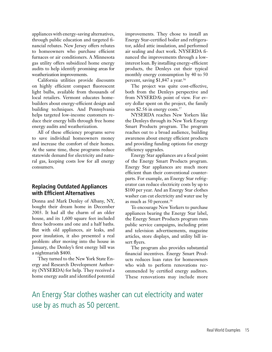appliances with energy-saving alternatives, through public education and targeted financial rebates. New Jersey offers rebates to homeowners who purchase efficient furnaces or air conditioners. A Minnesota gas utility offers subsidized home energy audits to help identify promising areas for weatherization improvements.

California utilities provide discounts on highly efficient compact fluorescent light bulbs, available from thousands of local retailers. Vermont educates homebuilders about energy-efficient design and building techniques. And Pennsylvania helps targeted low-income customers reduce their energy bills through free home energy audits and weatherization.

All of these efficiency programs serve to save individual homeowners money and increase the comfort of their homes. At the same time, these programs reduce statewide demand for electricity and natural gas, keeping costs low for all energy consumers.

## **Replacing Outdated Appliances with Efficient Alternatives**

Donna and Mark Denley of Albany, NY, bought their dream home in December 2003. It had all the charm of an older house, and its 1,600 square feet included three bedrooms and one and a half baths. But with old appliances, air leaks, and poor insulation, it also presented a real problem: after moving into the house in January, the Denley's first energy bill was a nightmarish \$400.

They turned to the New York State Energy and Research Development Authority (NYSERDA) for help. They received a home energy audit and identified potential improvements. They chose to install an Energy Star-certified boiler and refrigerator, added attic insulation, and performed air sealing and duct work. NYSERDA financed the improvements through a lowinterest loan. By installing energy-efficient products, the Denleys cut their typical monthly energy consumption by 40 to 50 percent, saving \$1,847 a year.<sup>56</sup>

The project was quite cost-effective, both from the Denleys perspective and from NYSERDA's point of view. For every dollar spent on the project, the family saves \$2.56 in energy costs.<sup>57</sup>

NYSERDA reaches New Yorkers like the Denleys through its New York Energy Smart Products program. The program reaches out to a broad audience, building awareness about energy efficient products and providing funding options for energy efficiency upgrades.

Energy Star appliances are a focal point of the Energy Smart Products program. Energy Star appliances are much more efficient than their conventional counterparts. For example, an Energy Star refrigerator can reduce electricity costs by up to \$100 per year. And an Energy Star clothes washer can cut electricity and water use by as much as 50 percent.58

To encourage New Yorkers to purchase appliances bearing the Energy Star label, the Energy Smart Products program runs public service campaigns, including print and television advertisements, magazine articles, store displays, and utility bill insert flyers.

The program also provides substantial financial incentives. Energy Smart Products reduces loan rates for homeowners who wish to perform renovations recommended by certified energy auditors. These renovations may include more

# An Energy Star clothes washer can cut electricity and water use by as much as 50 percent.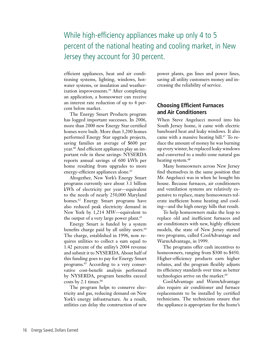# While high-efficiency appliances make up only 4 to 5 percent of the national heating and cooling market, in New Jersey they account for 30 percent.

efficient appliances, heat and air conditioning systems, lighting, windows, hotwater systems, or insulation and weatherization improvements.59 After completing an application, a homeowner can receive an interest rate reduction of up to 4 percent below market.

The Energy Smart Products program has logged important successes. In 2006, more than 2000 new Energy Star certified homes were built. More than 3,200 homes performed Energy Star upgrade projects, saving families an average of \$600 per year.<sup>60</sup> And efficient appliances play an important role in these savings: NYSERDA reports annual savings of 600 kWh per home resulting from upgrades to more energy-efficient appliances alone.<sup>61</sup>

Altogether, New York's Energy Smart programs currently save about 3.1 billion kWh of electricity per year—equivalent to the needs of nearly 250,000 Maryland homes.<sup>62</sup> Energy Smart programs have also reduced peak electricity demand in New York by 1,214 MW—equivalent to the output of a very large power plant.<sup>63</sup>

Energy Smart is funded by a system benefits charge paid by all utility users.<sup>64</sup> The charge, established in 1996, now requires utilities to collect a sum equal to 1.42 percent of the utility's 2004 revenue and submit it to NYSERDA. About half of this funding goes to pay for Energy Smart programs.65 According to a very conservative cost-benefit analysis performed by NYSERDA, program benefits exceed costs by 2.1 times. $66$ 

The program helps to conserve electricity and gas, reducing demand on New York's energy infrastructure. As a result, utilities can delay the construction of new power plants, gas lines and power lines, saving all utility customers money and increasing the reliability of service.

### **Choosing Efficient Furnaces and Air Conditioners**

When Steve Angelucci moved into his South Jersey home, it came with electric baseboard heat and leaky windows. It also came with a massive heating bill.<sup>67</sup> To reduce the amount of money he was burning up every winter, he replaced leaky windows and converted to a multi-zone natural gas heating system.<sup>68</sup>

Many homeowners across New Jersey find themselves in the same position that Mr. Angelucci was in when he bought his house. Because furnaces, air conditioners and ventilation systems are relatively expensive to replace, many homeowners tolerate inefficient home heating and cooling—and the high energy bills that result.

To help homeowners make the leap to replace old and inefficient furnaces and air conditioners with new, highly efficient models, the state of New Jersey started two programs, called CoolAdvantage and WarmAdvantage, in 1999.

The programs offer cash incentives to homeowners, ranging from \$300 to \$450. Higher-efficiency products earn higher rebates, and the program flexibly adjusts its efficiency standards over time as better technologies arrive on the market.<sup>69</sup>

CoolAdvantage and WarmAdvantage also require air conditioner and furnace replacements to be installed by certified technicians. The technicians ensure that the appliance is appropriate for the home's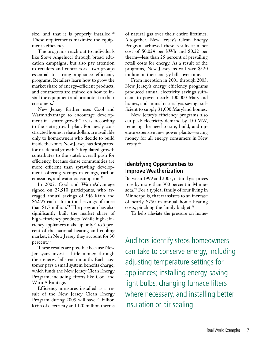size, and that it is properly installed.<sup>70</sup> These requirements maximize the equipment's efficiency.

The programs reach out to individuals like Steve Angelucci through broad education campaigns, but also pay attention to retailers and contractors—two groups essential to strong appliance efficiency programs. Retailers learn how to grow the market share of energy-efficient products, and contractors are trained on how to install the equipment and promote it to their customers.71

New Jersey further uses Cool and WarmAdvantage to encourage development in "smart growth" areas, according to the state growth plan. For newly constructed homes, rebate dollars are available only to homeowners who decide to build inside the zones New Jersey has designated for residential growth.72 Regulated growth contributes to the state's overall push for efficiency, because dense communities are more efficient than sprawling development, offering savings in energy, carbon emissions, and water consumption.<sup>73</sup>

In 2005, Cool and WarmAdvantage signed on 27,510 participants, who averaged annual savings of 546 kWh and \$62.95 each—for a total savings of more than \$1.7 million.74 The program has also significantly built the market share of high-efficiency products. While high-efficiency appliances make up only 4 to 5 percent of the national heating and cooling market, in New Jersey they account for 30 percent.75

These results are possible because New Jerseyans invest a little money through their energy bills each month. Each customer pays a small system benefits charge, which funds the New Jersey Clean Energy Program, including efforts like Cool and WarmAdvantage.

Efficiency measures installed as a result of the New Jersey Clean Energy Program during 2005 will save 4 billion kWh of electricity and 120 million therms

of natural gas over their entire lifetimes. Altogether, New Jersey's Clean Energy Program achieved these results at a net cost of \$0.024 per kWh and \$0.22 per therm—less than 25 percent of prevailing retail costs for energy. As a result of the programs, New Jerseyans will save \$520 million on their energy bills over time.

From inception in 2001 through 2005, New Jersey's energy efficiency programs produced annual electricity savings sufficient to power nearly 100,000 Maryland homes, and annual natural gas savings sufficient to supply 31,000 Maryland homes.

New Jersey's efficiency programs also cut peak electricity demand by 450 MW, reducing the need to site, build, and operate expensive new power plants—saving money for all energy consumers in New Jersey.<sup>76</sup>

## **Identifying Opportunities to Improve Weatherization**

Between 1999 and 2005, natural gas prices rose by more than 300 percent in Minnesota.77 For a typical family of four living in Minneapolis, that translates to an increase of nearly \$750 in annual home heating costs, pinching the family budget.78

To help alleviate the pressure on home-

Auditors identify steps homeowners can take to conserve energy, including adjusting temperature settings for appliances; installing energy-saving light bulbs, changing furnace filters where necessary, and installing better insulation or air sealing.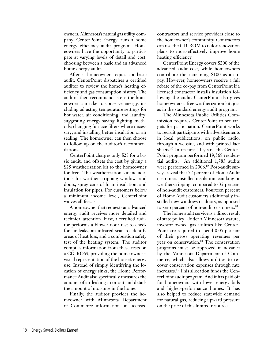owners, Minnesota's natural gas utility company, CenterPoint Energy, runs a home energy efficiency audit program. Homeowners have the opportunity to participate at varying levels of detail and cost, choosing between a basic and an advanced home energy audit.

After a homeowner requests a basic audit, CenterPoint dispatches a certified auditor to review the home's heating efficiency and gas consumption history. The auditor then recommends steps the homeowner can take to conserve energy, including adjusting temperature settings for hot water, air conditioning, and laundry; suggesting energy-saving lighting methods; changing furnace filters where necessary; and installing better insulation or air sealing. The homeowner can then choose to follow up on the auditor's recommendations.

CenterPoint charges only \$25 for a basic audit, and offsets the cost by giving a \$25 weatherization kit to the homeowner for free. The weatherization kit includes tools for weather-stripping windows and doors, spray cans of foam insulation, and insulation for pipes. For customers below a minimum income level, CenterPoint waives all fees.<sup>79</sup>

A homeowner that requests an advanced energy audit receives more detailed and technical attention. First, a certified auditor performs a blower door test to check for air leaks, an infrared scan to identify areas of heat loss, and a combustion safety test of the heating system. The auditor compiles information from these tests on a CD-ROM, providing the home owner a visual representation of the house's energy use. Instead of simply identifying the location of energy sinks, the Home Performance Audit also specifically measures the amount of air leaking in or out and details the amount of moisture in the home.

Finally, the auditor provides the homeowner with Minnesota Department of Commerce information on licensed

contractors and service providers close to the homeowner's community. Contractors can use the CD-ROM to tailor renovation plans to most-effectively improve home heating efficiency.

CenterPoint Energy covers \$200 of the advanced audit cost, while homeowners contribute the remaining \$100 as a copay. However, homeowners receive a full rebate of the co-pay from CenterPoint if a licensed contractor installs insulation following the audit. CenterPoint also gives homeowners a free weatherization kit, just as in the standard energy audit program.

The Minnesota Public Utilities Commission requires CenterPoint to set targets for participation. CenterPoint works to recruit participants with advertisements in local publications, on public radio, through a website, and with printed fact sheets.<sup>80</sup> In its first 11 years, the Center-Point program performed 19,368 residential audits.81 An additional 1,785 audits were performed in 2006.<sup>82</sup> Post-audit surveys reveal that 72 percent of Home Audit customers installed insulation, caulking or weatherstripping, compared to 32 percent of non-audit customers. Fourteen percent of Home Audit customers additionally installed new windows or doors, as opposed to zero percent of non-audit customers.<sup>83</sup>

The home audit service is a direct result of state policy. Under a Minnesota statute, investor-owned gas utilities like Center-Point are required to spend 0.05 percent of their gross operating revenues per year on conservation.<sup>84</sup> The conservation programs must be approved in advance by the Minnesota Department of Commerce, which also allows utilities to recover conservation expenses through rate increases.85 This allocation funds the CenterPoint audit program. And it has paid off for homeowners with lower energy bills and higher-performance homes. It has also helped to reduce statewide demand for natural gas, reducing upward pressure on the price of this limited resource.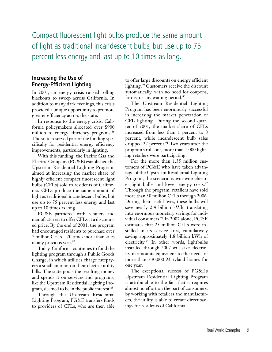Compact fluorescent light bulbs produce the same amount of light as traditional incandescent bulbs, but use up to 75 percent less energy and last up to 10 times as long.

### **Increasing the Use of Energy-Efficient Lighting**

In 2001, an energy crisis caused rolling blackouts to sweep across California. In addition to many dark evenings, this crisis provided a unique opportunity to promote greater efficiency across the state.

In response to the energy crisis, California policymakers allocated over \$900 million to energy efficiency programs.<sup>86</sup> The state reserved part of the funding specifically for residential energy efficiency improvements, particularly in lighting.

With this funding, the Pacific Gas and Electric Company (PG&E) established the Upstream Residential Lighting Program, aimed at increasing the market share of highly efficient compact fluorescent light bulbs (CFLs) sold to residents of California. CFLs produce the same amount of light as traditional incandescent bulbs, but use up to 75 percent less energy and last up to 10 times as long.

PG&E partnered with retailers and manufacturers to offer CFLs at a discounted price. By the end of 2001, the program had encouraged residents to purchase over 7 million CFLs—20 times more than sales in any previous year.<sup>87</sup>

Today, California continues to fund the lighting program through a Public Goods Charge, in which utilities charge ratepayers a small amount on their electric utility bills. The state pools the resulting money and spends it on services and programs, like the Upstream Residential Lighting Program, deemed to be in the public interest.88

Through the Upstream Residential Lighting Program, PG&E transfers funds to providers of CFLs, who are then able

to offer large discounts on energy efficient lighting.89 Customers receive the discount automatically, with no need for coupons, forms, or any waiting period.<sup>90</sup>

The Upstream Residential Lighting Program has been enormously successful in increasing the market penetration of CFL lighting. During the second quarter of 2001, the market share of CFLs increased from less than 1 percent to 8 percent, while incandescent bulb sales dropped 22 percent.<sup>91</sup> Two years after the program's roll-out, more than 1,000 lighting retailers were participating.

For the more than 1.35 million customers of PG&E who have taken advantage of the Upstream Residential Lighting Program, the scenario is win-win: cheaper light bulbs and lower energy costs.<sup>92</sup> Through the program, retailers have sold more than 30 million CFLs through 2006. During their useful lives, these bulbs will save nearly 2.4 billion kWh, translating into enormous monetary savings for individual consumers.<sup>93</sup> In 2007 alone, PG&E estimates that 25 million CFLs were installed in its service area, cumulatively saving approximately 1.8 billion kWh of electricity.94 In other words, lightbulbs installed through 2007 will save electricity in amounts equivalent to the needs of more than 330,000 Maryland homes for one year.

The exceptional success of PG&E's Upstream Residential Lighting Program is attributable to the fact that it requires almost no effort on the part of consumers: by working with retailers and manufacturers, the utility is able to create direct savings for residents of California.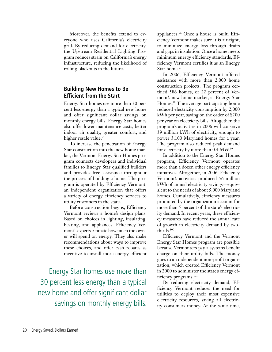Moreover, the benefits extend to everyone who uses California's electricity grid. By reducing demand for electricity, the Upstream Residential Lighting Program reduces strain on California's energy infrastructure, reducing the likelihood of rolling blackouts in the future.

## **Building New Homes to Be Efficient from the Start**

Energy Star homes use more than 30 percent less energy than a typical new home and offer significant dollar savings on monthly energy bills. Energy Star homes also offer lower maintenance costs, better indoor air quality, greater comfort, and higher resale value.<sup>95</sup>

To increase the penetration of Energy Star construction into the new home market, the Vermont Energy Star Homes program connects developers and individual families to Energy Star qualified builders and provides free assistance throughout the process of building a home. The program is operated by Efficiency Vermont, an independent organization that offers a variety of energy efficiency services to utility customers in the state.

Before construction begins, Efficiency Vermont reviews a home's design plans. Based on choices in lighting, insulating, heating, and appliances, Efficiency Vermont's experts estimate how much the owner will spend on energy. They also make recommendations about ways to improve these choices, and offer cash rebates as incentive to install more energy-efficient

Energy Star homes use more than 30 percent less energy than a typical new home and offer significant dollar savings on monthly energy bills. appliances.<sup>96</sup> Once a house is built, Efficiency Vermont makes sure it is air-tight, to minimize energy loss through drafts and gaps in insulation. Once a home meets minimum energy efficiency standards, Efficiency Vermont certifies it as an Energy Star home.<sup>97</sup>

In 2006, Efficiency Vermont offered assistance with more than 2,000 home construction projects. The program certified 586 homes, or 22 percent of Vermont's new home market, as Energy Star Homes.98 The average participating home reduced electricity consumption by 2,000 kWh per year, saving on the order of \$200 per year on electricity bills. Altogether, the program's activities in 2006 will conserve 39 million kWh of electricity, enough to power 3,100 Maryland homes for a year. The program also reduced peak demand for electricity by more than 0.4 MW.99

In addition to the Energy Star Homes program, Efficiency Vermont operates more than a dozen other energy efficiency initiatives. Altogether, in 2006, Efficiency Vermont's activities produced 56 million kWh of annual electricity savings—equivalent to the needs of about 5,000 Maryland homes. Cumulatively, efficiency measures promoted by the organization account for more than 5 percent of the state's electricity demand. In recent years, these efficiency measures have reduced the annual rate of growth in electricity demand by twothirds.100

Efficiency Vermont and the Vermont Energy Star Homes program are possible because Vermonters pay a systems benefit charge on their utility bills. The money goes to an independent non-profit organization, which created Efficiency Vermont in 2000 to administer the state's energy efficiency programs.101

By reducing electricity demand, Efficiency Vermont reduces the need for utilities to deploy their most expensive electricity resources, saving all electricity consumers money. At the same time,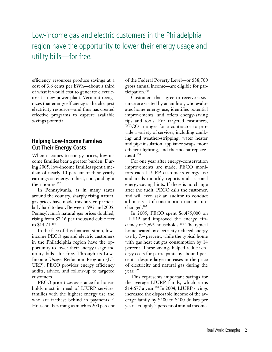# Low-income gas and electric customers in the Philadelphia region have the opportunity to lower their energy usage and utility bills—for free.

efficiency resources produce savings at a cost of 3.6 cents per kWh—about a third of what it would cost to generate electricity at a new power plant. Vermont recognizes that energy efficiency is the cheapest electricity resource—and thus has created effective programs to capture available savings potential.

## **Helping Low-Income Families Cut Their Energy Costs**

When it comes to energy prices, low-income families bear a greater burden. During 2005, low-income families spent a median of nearly 10 percent of their yearly earnings on energy to heat, cool, and light their homes.102

In Pennsylvania, as in many states around the country, sharply rising natural gas prices have made this burden particularly hard to bear. Between 1995 and 2005, Pennsylvania's natural gas prices doubled, rising from \$7.16 per thousand cubic feet to \$14.21.103

In the face of this financial strain, lowincome PECO gas and electric customers in the Philadelphia region have the opportunity to lower their energy usage and utility bills—for free. Through its Low-Income Usage Reduction Program (LI-URP), PECO provides energy efficiency audits, advice, and follow-up to targeted customers.

PECO prioritizes assistance for households most in need of LIURP services: families with the highest energy use and who are farthest behind in payments.<sup>104</sup> Households earning as much as 200 percent of the Federal Poverty Level—or \$38,700 gross annual income—are eligible for participation.105

Customers that agree to receive assistance are visited by an auditor, who evaluates home energy use, identifies potential improvements, and offers energy-saving tips and tools. For targeted customers, PECO arranges for a contractor to provide a variety of services, including caulking and weather-stripping, water heater and pipe insulation, appliance swaps, more efficient lighting, and thermostat replacement.<sup>106</sup>

For one year after energy-conservation improvements are made, PECO monitors each LIURP customer's energy use and mails monthly reports and seasonal energy-saving hints. If there is no change after the audit, PECO calls the customer, and will even ask an auditor to conduct a house visit if consumption remains unchanged.107

In 2005, PECO spent \$6,475,000 on LIURP and improved the energy efficiency of 7,695 households.108 The typical home heated by electricity reduced energy use by 7.4 percent, while the typical home with gas heat cut gas consumption by 14 percent. These savings helped reduce energy costs for participants by about 3 percent—despite large increases in the price of electricity and natural gas during the year.109

This represents important savings for the average LIURP family, which earns \$14,677 a year.<sup>110</sup> In 2004, LIURP savings increased the disposable income of the average family by \$200 to \$400 dollars per year—roughly 2 percent of annual income.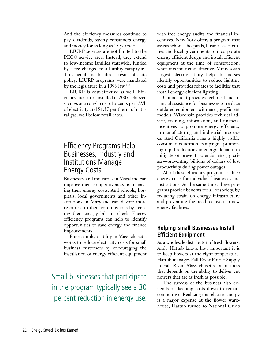And the efficiency measures continue to pay dividends, saving consumers energy and money for as long as 15 years.<sup>111</sup>

LIURP services are not limited to the PECO service area. Instead, they extend to low-income families statewide, funded by a fee charged to all utility ratepayers. This benefit is the direct result of state policy: LIURP programs were mandated by the legislature in a 1993 law.112

LIURP is cost-effective as well. Efficiency measures installed in 2005 achieved savings at a rough cost of 5 cents per kWh of electricity and \$1.37 per therm of natural gas, well below retail rates.

# Efficiency Programs Help Businesses, Industry and Institutions Manage Energy Costs

Businesses and industries in Maryland can improve their competitiveness by managing their energy costs. And schools, hospitals, local governments and other institutions in Maryland can devote more resources to their core missions by keeping their energy bills in check. Energy efficiency programs can help to identify opportunities to save energy and finance improvements.

For example, a utility in Massachusetts works to reduce electricity costs for small business customers by encouraging the installation of energy efficient equipment

Small businesses that participate in the program typically see a 30 percent reduction in energy use.

with free energy audits and financial incentives. New York offers a program that assists schools, hospitals, businesses, factories and local governments to incorporate energy efficient design and install efficient equipment at the time of construction, when it is most cost-effective. Minnesota's largest electric utility helps businesses identify opportunities to reduce lighting costs and provides rebates to facilities that install energy-efficient lighting.

Connecticut provides technical and financial assistance for businesses to replace outdated equipment with energy-efficient models. Wisconsin provides technical advice, training, information, and financial incentives to promote energy efficiency in manufacturing and industrial processes. And California runs a highly visible consumer education campaign, promoting rapid reductions in energy demand to mitigate or prevent potential energy crises—preventing billions of dollars of lost productivity during power outages.

All of these efficiency programs reduce energy costs for individual businesses and institutions. At the same time, these programs provide benefits for all of society, by reducing strain on energy infrastructure and preventing the need to invest in new energy facilities.

## **Helping Small Businesses Install Efficient Equipment**

As a wholesale distributor of fresh flowers, Andy Hattub knows how important it is to keep flowers at the right temperature. Hattub manages Fall River Florist Supply in Fall River, Massachusetts—a business that depends on the ability to deliver cut flowers that are as fresh as possible.

The success of the business also depends on keeping costs down to remain competitive. Realizing that electric energy is a major expense at the flower warehouse, Hattub turned to National Grid's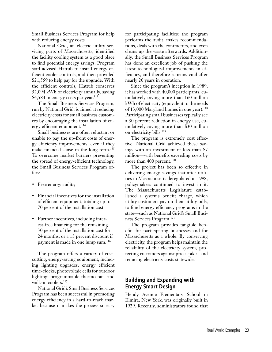Small Business Services Program for help with reducing energy costs.

National Grid, an electric utility servicing parts of Massachusetts, identified the facility cooling system as a good place to find potential energy savings. Program staff advised Hattub to install energy efficient cooler controls, and then provided \$21,559 to help pay for the upgrade. With the efficient controls, Hattub conserves 52,094 kWh of electricity annually, saving \$4,584 in energy costs per year.<sup>113</sup>

The Small Business Services Program, run by National Grid, is aimed at reducing electricity costs for small business customers by encouraging the installation of energy efficient equipment.<sup>114</sup>

Small businesses are often reluctant or unable to pay the up-front costs of energy efficiency improvements, even if they make financial sense in the long term.<sup>115</sup> To overcome market barriers preventing the spread of energy-efficient technology, the Small Business Services Program offers:

- Free energy audits;
- Financial incentives for the installation of efficient equipment, totaling up to 70 percent of the installation cost;
- Further incentives, including interest-free financing for the remaining 30 percent of the installation cost for 24 months, or a 15 percent discount if payment is made in one lump sum.<sup>116</sup>

The program offers a variety of costcutting, energy-saving equipment, including lighting upgrades, energy efficient time-clocks, photovoltaic cells for outdoor lighting, programmable thermostats, and walk-in coolers.<sup>117</sup>

National Grid's Small Business Services Program has been successful in promoting energy efficiency in a hard-to-reach market because it makes the process so easy for participating facilities: the program performs the audit, makes recommendations, deals with the contractors, and even cleans up the waste afterwards. Additionally, the Small Business Services Program has done an excellent job of pushing the latest technological improvements in efficiency, and therefore remains vital after nearly 20 years in operation.

Since the program's inception in 1989, it has worked with 40,000 participants, cumulatively saving more than 160 million kWh of electricity (equivalent to the needs of 13,000 Maryland homes in one year).<sup>118</sup> Participating small businesses typically see a 30 percent reduction in energy use, cumulatively saving more than \$30 million on electricity bills.<sup>119</sup>

The program is extremely cost effective. National Grid achieved these savings with an investment of less than \$7 million—with benefits exceeding costs by more than 400 percent.<sup>120</sup>

The project has been so effective in delivering energy savings that after utilities in Massachusetts deregulated in 1998, policymakers continued to invest in it. The Massachusetts Legislature established a systems benefit charge, which utility customers pay on their utility bills, to fund energy efficiency programs in the state—such as National Grid's Small Business Services Program.121

The program provides tangible benefits for participating businesses and for Massachusetts as a whole. By conserving electricity, the program helps maintain the reliability of the electricity system, protecting customers against price spikes, and reducing electricity costs statewide.

## **Building and Expanding with Energy Smart Design**

Hendy Avenue Elementary School in Elmira, New York, was originally built in 1929. Recently, administrators found that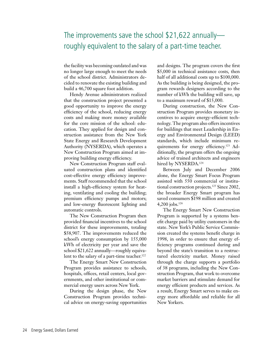# The improvements save the school \$21,622 annually roughly equivalent to the salary of a part-time teacher.

the facility was becoming outdated and was no longer large enough to meet the needs of the school district. Administrators decided to renovate the existing building and build a 46,700 square foot addition.

Hendy Avenue administrators realized that the construction project presented a good opportunity to improve the energy efficiency of the school, reducing energy costs and making more money available for the core mission of the school: education. They applied for design and construction assistance from the New York State Energy and Research Development Authority (NYSERDA), which operates a New Construction Program aimed at improving building energy efficiency.

New Construction Program staff evaluated construction plans and identified cost-effective energy efficiency improvements. Staff recommended that the school install a high-efficiency system for heating, ventilating and cooling the building; premium efficiency pumps and motors; and low-energy fluorescent lighting and automatic controls.

The New Construction Program then provided financial incentives to the school district for these improvements, totaling \$58,907. The improvements reduced the school's energy consumption by 155,000 kWh of electricity per year and save the school \$21,622 annually—roughly equivalent to the salary of a part-time teacher.<sup>122</sup>

The Energy Smart New Construction Program provides assistance to schools, hospitals, offices, retail centers, local governments, and other institutional or commercial energy users across New York.

During the design phase, the New Construction Program provides technical advice on energy-saving opportunities and designs. The program covers the first \$5,000 in technical assistance costs, then half of all additional costs up to \$100,000. As the building is being designed, the program rewards designers according to the number of kWh the building will save, up to a maximum reward of \$15,000.

During construction, the New Construction Program provides monetary incentives to acquire energy-efficient technology. The program also offers incentives for buildings that meet Leadership in Energy and Environmental Design (LEED) standards, which include minimum requirements for energy efficiency.123 Additionally, the program offers the ongoing advice of trained architects and engineers hired by NYSERDA.<sup>124</sup>

Between July and December 2006 alone, the Energy Smart Focus Program assisted with 550 commercial or institutional construction projects.<sup>125</sup> Since 2002, the broader Energy Smart program has saved consumers \$198 million and created 4,200 jobs.126

The Energy Smart New Construction Program is supported by a systems benefit charge paid by utility customers in the state. New York's Public Service Commission created the systems benefit charge in 1998, in order to ensure that energy efficiency programs continued during and beyond the state's transition to a restructured electricity market. Money raised through the charge supports a portfolio of 38 programs, including the New Construction Program, that work to overcome market barriers and stimulate demand for energy efficient products and services. As a result, Energy Smart serves to make energy more affordable and reliable for all New Yorkers.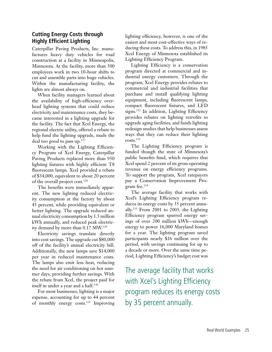## **Cutting Energy Costs through Highly Efficient Lighting**

Caterpillar Paving Products, Inc. manufactures heavy duty vehicles for road construction at a facility in Minneapolis, Minnesota. At the facility, more than 500 employees work in two 10-hour shifts to cut and assemble parts into huge vehicles. Within the manufacturing facility, the lights are almost always on.

When facility managers learned about the availability of high-efficiency overhead lighting systems that could reduce electricity and maintenance costs, they became interested in a lighting upgrade for the facility. The fact that Xcel Energy, the regional electric utility, offered a rebate to help fund the lighting upgrade, made the deal too good to pass up.127

Working with the Lighting Efficiency Program of Xcel Energy, Caterpillar Paving Products replaced more than 950 lighting fixtures with highly efficient T8 fluorescent lamps. Xcel provided a rebate of \$34,000, equivalent to about 20 percent of the overall project cost.<sup>128</sup>

The benefits were immediately apparent. The new lighting reduced electricity consumption at the factory by about 45 percent, while providing equivalent or better lighting. The upgrade reduced annual electricity consumption by 1.5 million kWh annually, and reduced peak electricity demand by more than 0.17 MW.129

Electricity savings translate directly into cost savings. The upgrade cut \$80,000 off of the facility's annual electricity bill. Additionally, the new lamps save \$14,000 per year in reduced maintenance costs. The lamps also emit less heat, reducing the need for air conditioning on hot summer days, providing further savings. With the rebate from Xcel, the project paid for itself in under a year and a half.<sup>130</sup>

For most businesses, lighting is a major expense, accounting for up to 44 percent of monthly energy costs.131 Improving lighting efficiency, however, is one of the easiest and most cost-effective ways of reducing these costs. To address this, in 1985 Xcel Energy of Minnesota established its Lighting Efficiency Program.

Lighting Efficiency is a conservation program directed at commercial and industrial energy customers. Through the program, Xcel Energy provides rebates to commercial and industrial facilities that purchase and install qualifying lighting equipment, including fluorescent lamps, compact fluorescent fixtures, and LED signs.<sup>132</sup> In addition, Lighting Efficiency provides rebates on lighting retrofits to upgrade aging facilities, and funds lighting redesign studies that help businesses assess ways that they can reduce their lighting costs.133

The Lighting Efficiency program is funded though the state of Minnesota's public benefits fund, which requires that Xcel spend 2 percent of its gross operating revenue on energy efficiency programs. To support the program, Xcel ratepayers pay a Conservation Improvement Program fee.134

The average facility that works with Xcel's Lighting Efficiency program reduces its energy costs by 35 percent annually.135 From 2001 to 2003, the Lighting Efficiency program spurred energy savings of over 200 million kWh—enough energy to power 16,000 Maryland homes for a year. The lighting program saved participants nearly \$16 million over the period, with savings continuing for up to a decade or more. Over the same time period, Lighting Efficiency's budget cost was

The average facility that works with Xcel's Lighting Efficiency program reduces its energy costs by 35 percent annually.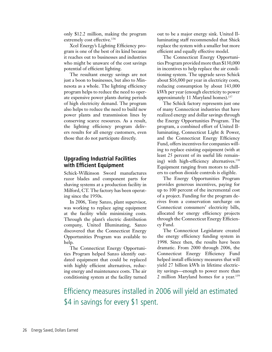only \$12.2 million, making the program extremely cost effective.<sup>136</sup>

Xcel Energy's Lighting Efficiency program is one of the best of its kind because it reaches out to businesses and industries who might be unaware of the cost savings potential of efficient lighting.

The resultant energy savings are not just a boon to businesses, but also to Minnesota as a whole. The lighting efficiency program helps to reduce the need to operate expensive power plants during periods of high electricity demand. The program also helps to reduce the need to build new power plants and transmission lines by conserving scarce resources. As a result, the lighting efficiency program delivers results for all energy customers, even those that do not participate directly.

## **Upgrading Industrial Facilities with Efficient Equipment**

Schick-Wilkinson Sword manufactures razor blades and component parts for shaving systems at a production facility in Milford, CT. The factory has been operating since the 1950s.

In 2006, Tony Sanzo, plant supervisor, was working to replace aging equipment at the facility while minimizing costs. Through the plant's electric distribution company, United Illuminating, Sanzo discovered that the Connecticut Energy Opportunities Program was available to help.

The Connecticut Energy Opportunities Program helped Sanzo identify outdated equipment that could be replaced with highly efficient alternatives, reducing energy and maintenance costs. The air conditioning system at the facility turned

out to be a major energy sink. United Illuminating staff recommended that Shick replace the system with a smaller but more efficient and equally effective model.

The Connecticut Energy Opportunities Program provided more than \$130,000 in incentives to help replace the air conditioning system. The upgrade saves Schick about \$16,000 per year in electricity costs, reducing consumption by about 143,000 kWh per year (enough electricity to power approximately 11 Maryland homes).137

The Schick factory represents just one of many Connecticut industries that have realized energy and dollar savings through the Energy Opportunities Program. The program, a combined effort of United Illuminating, Connecticut Light & Power, and the Connecticut Energy Efficiency Fund, offers incentives for companies willing to replace existing equipment (with at least 25 percent of its useful life remaining) with high-efficiency alternatives.<sup>138</sup> Equipment ranging from motors to chillers to carbon dioxide controls is eligible.

The Energy Opportunities Program provides generous incentives, paying for up to 100 percent of the incremental cost of a project. Funding for the program derives from a conservation surcharge on Connecticut consumers' electricity bills, allocated for energy efficiency projects through the Connecticut Energy Efficiency Fund.

The Connecticut Legislature created the energy efficiency funding system in 1998. Since then, the results have been dramatic. From 2000 through 2006, the Connecticut Energy Efficiency Fund helped install efficiency measures that will yield 27 billion kWh in lifetime electricity savings—enough to power more than 2 million Maryland homes for a year.<sup>139</sup>

Efficiency measures installed in 2006 will yield an estimated \$4 in savings for every \$1 spent.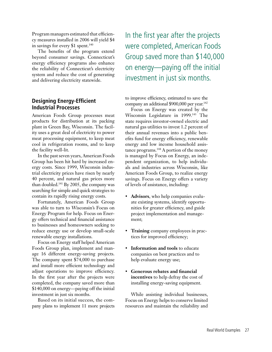Program managers estimated that efficiency measures installed in 2006 will yield \$4 in savings for every \$1 spent.<sup>140</sup>

The benefits of the program extend beyond consumer savings. Connecticut's energy efficiency programs also enhance the reliability of Connecticut's electricity system and reduce the cost of generating and delivering electricity statewide.

### **Designing Energy-Efficient Industrial Processes**

American Foods Group processes meat products for distribution at its packing plant in Green Bay, Wisconsin. The facility uses a great deal of electricity to power meat processing equipment, to keep meat cool in refrigeration rooms, and to keep the facility well-lit.

In the past seven years, American Foods Group has been hit hard by increased energy costs. Since 1999, Wisconsin industrial electricity prices have risen by nearly 40 percent, and natural gas prices more than doubled.141 By 2005, the company was searching for simple and quick strategies to contain its rapidly rising energy costs.

Fortunately, American Foods Group was able to turn to Wisconsin's Focus on Energy Program for help. Focus on Energy offers technical and financial assistance to businesses and homeowners seeking to reduce energy use or develop small-scale renewable energy installations.

Focus on Energy staff helped American Foods Group plan, implement and manage 16 different energy-saving projects. The company spent \$74,000 to purchase and install more efficient technology and adjust operations to improve efficiency. In the first year after the projects were completed, the company saved more than \$140,000 on energy—paying off the initial investment in just six months.

Based on its initial success, the company plans to implement 11 more projects

In the first year after the projects were completed, American Foods Group saved more than \$140,000 on energy—paying off the initial investment in just six months.

to improve efficiency, estimated to save the company an additional \$900,000 per year.<sup>142</sup>

Focus on Energy was created by the Wisconsin Legislature in 1999.<sup>143</sup> The state requires investor-owned electric and natural gas utilities to invest 1.2 percent of their annual revenues into a public benefits fund for energy efficiency, renewable energy and low income household assistance programs.<sup>144</sup> A portion of the money is managed by Focus on Energy, an independent organization, to help individuals and industries across Wisconsin, like American Foods Group, to realize energy savings. Focus on Energy offers a variety of levels of assistance, including:

- **Advisors**, who help companies evaluate existing systems, identify opportunities for greater efficiency, and guide project implementation and management;
- **Training** company employees in practices for improved efficiency;
- **Information and tools** to educate companies on best practices and to help evaluate energy use;
- **Generous rebates and financial incentives** to help defray the cost of installing energy-saving equipment.

While assisting individual businesses, Focus on Energy helps to conserve limited resources and maintain the reliability and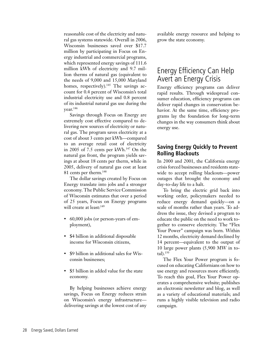reasonable cost of the electricity and natural gas systems statewide. Overall in 2006, Wisconsin businesses saved over \$17.7 million by participating in Focus on Energy industrial and commercial programs, which represented energy savings of 111.6 million kWh of electricity and 9.7 million therms of natural gas (equivalent to the needs of 9,000 and 15,000 Maryland homes, respectively).<sup>145</sup> The savings account for 0.4 percent of Wisconsin's total industrial electricity use and 0.8 percent of its industrial natural gas use during the year.146

Savings through Focus on Energy are extremely cost effective compared to delivering new sources of electricity or natural gas. The program saves electricity at a cost of about 3 cents per kWh—compared to an average retail cost of electricity in 2005 of 7.5 cents per  $kWh.<sup>147</sup>$  On the natural gas front, the program yields savings at about 18 cents per therm, while in 2005, delivery of natural gas cost at least 81 cents per therm.<sup>148</sup>

The dollar savings created by Focus on Energy translate into jobs and a stronger economy. The Public Service Commission of Wisconsin estimates that over a period of 25 years, Focus on Energy programs will create at least:<sup>149</sup>

- 60,000 jobs (or person-years of employment),
- \$4 billion in additional disposable income for Wisconsin citizens,
- \$9 billion in additional sales for Wisconsin businesses;
- \$5 billion in added value for the state economy.

By helping businesses achieve energy savings, Focus on Energy reduces strain on Wisconsin's energy infrastructure delivering savings at the lowest cost of any available energy resource and helping to grow the state economy.

# Energy Efficiency Can Help Avert an Energy Crisis

Energy efficiency programs can deliver rapid results. Through widespread consumer education, efficiency programs can deliver rapid changes in conservation behavior. At the same time, efficiency programs lay the foundation for long-term changes in the way consumers think about energy use.

### **Saving Energy Quickly to Prevent Rolling Blackouts**

In 2000 and 2001, the California energy crisis forced businesses and residents statewide to accept rolling blackouts—power outages that brought the economy and day-to-day life to a halt.

To bring the electric grid back into working order, policymakers needed to reduce energy demand quickly—on a scale of months rather than years. To address the issue, they devised a program to educate the public on the need to work together to conserve electricity. The "Flex Your Power" campaign was born. Within 12 months, electricity demand declined by 14 percent—equivalent to the output of 10 large power plants (5,900 MW in to $tal$ ).<sup>150</sup>

The Flex Your Power program is focused on educating Californians on how to use energy and resources more efficiently. To reach this goal, Flex Your Power operates a comprehensive website; publishes an electronic newsletter and blog, as well as a variety of educational materials; and runs a highly visible television and radio campaign.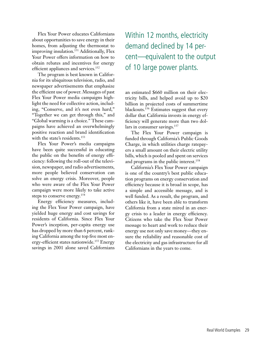Flex Your Power educates Californians about opportunities to save energy in their homes, from adjusting the thermostat to improving insulation.<sup>151</sup> Additionally, Flex Your Power offers information on how to obtain rebates and incentives for energy efficient appliances and services.<sup>152</sup>

The program is best known in California for its ubiquitous television, radio, and newspaper advertisements that emphasize the efficient use of power. Messages of past Flex Your Power media campaigns highlight the need for collective action, including, "Conserve, and it's not even hard," "Together we can get through this," and "Global warming is a choice." These campaigns have achieved an overwhelmingly positive reaction and brand identification with the state's residents.<sup>153</sup>

Flex Your Power's media campaigns have been quite successful in educating the public on the benefits of energy efficiency: following the roll-out of the television, newspaper, and radio advertisements, more people believed conservation can solve an energy crisis. Moreover, people who were aware of the Flex Your Power campaign were more likely to take active steps to conserve energy.154

Energy efficiency measures, including the Flex Your Power campaign, have yielded huge energy and cost savings for residents of California. Since Flex Your Power's inception, per-capita energy use has dropped by more than 6 percent, ranking California among the top five most energy-efficient states nationwide.<sup>155</sup> Energy savings in 2001 alone saved Californians

Within 12 months, electricity demand declined by 14 percent—equivalent to the output of 10 large power plants.

an estimated \$660 million on their electricity bills, and helped avoid up to \$20 billion in projected costs of summertime blackouts.<sup>156</sup> Estimates suggest that every dollar that California invests in energy efficiency will generate more than two dollars in consumer savings.<sup>157</sup>

The Flex Your Power campaign is funded through California's Public Goods Charge, in which utilities charge ratepayers a small amount on their electric utility bills, which is pooled and spent on services and programs in the public interest.<sup>158</sup>

California's Flex Your Power campaign is one of the country's best public education programs on energy conservation and efficiency because it is broad in scope, has a simple and accessible message, and is well funded. As a result, the program, and others like it, have been able to transform California from a state mired in an energy crisis to a leader in energy efficiency. Citizens who take the Flex Your Power message to heart and work to reduce their energy use not only save money—they ensure the reliability and reasonable cost of the electricity and gas infrastructure for all Californians in the years to come.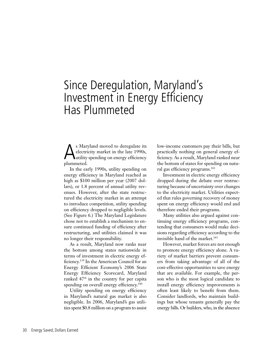# Since Deregulation, Maryland's Investment in Energy Efficiency Has Plummeted

s Maryland moved to deregulate its electricity market in the late 1990s, utility spending on energy efficiency plummeted.

In the early 1990s, utility spending on energy efficiency in Maryland reached as high as \$100 million per year (2007 dollars), or 1.8 percent of annual utility revenues. However, after the state restructured the electricity market in an attempt to introduce competition, utility spending on efficiency dropped to negligible levels. (See Figure 6.) The Maryland Legislature chose not to establish a mechanism to ensure continued funding of efficiency after restructuring, and utilities claimed it was no longer their responsibility.

As a result, Maryland now ranks near the bottom among states nationwide in terms of investment in electric energy efficiency.159 In the American Council for an Energy Efficient Economy's 2006 State Energy Efficiency Scorecard, Maryland ranked  $47<sup>th</sup>$  in the country for per capita spending on overall energy efficiency.<sup>160</sup>

Utility spending on energy efficiency in Maryland's natural gas market is also negligible. In 2006, Maryland's gas utilities spent \$0.8 million on a program to assist

low-income customers pay their bills, but practically nothing on general energy efficiency. As a result, Maryland ranked near the bottom of states for spending on natural gas efficiency programs.<sup>161</sup>

Investment in electric energy efficiency dropped during the debate over restructuring because of uncertainty over changes to the electricity market. Utilities expected that rules governing recovery of money spent on energy efficiency would end and therefore ended their programs.

Many utilities also argued against continuing energy efficiency programs, contending that consumers would make decisions regarding efficiency according to the invisible hand of the market.<sup>163</sup>

However, market forces are not enough to promote energy efficiency alone. A variety of market barriers prevent consumers from taking advantage of all of the cost-effective opportunities to save energy that are available. For example, the person who is the most logical candidate to install energy efficiency improvements is often least likely to benefit from them. Consider landlords, who maintain buildings but whose tenants generally pay the energy bills. Or builders, who, in the absence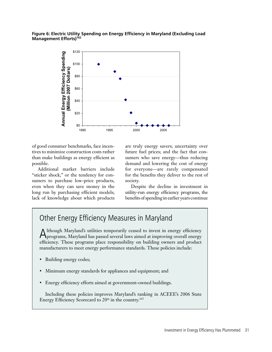#### **Figure 6: Electric Utility Spending on Energy Efficiency in Maryland (Excluding Load Management Efforts)162**



of good consumer benchmarks, face incentives to minimize construction costs rather than make buildings as energy efficient as possible.

Additional market barriers include "sticker shock," or the tendency for consumers to purchase low-price products, even when they can save money in the long run by purchasing efficient models; lack of knowledge about which products are truly energy savers; uncertainty over future fuel prices; and the fact that consumers who save energy—thus reducing demand and lowering the cost of energy for everyone—are rarely compensated for the benefits they deliver to the rest of society.

Despite the decline in investment in utility-run energy efficiency programs, the benefits of spending in earlier years continue

# Other Energy Efficiency Measures in Maryland

Although Maryland's utilities temporarily ceased to invest in energy efficiency programs, Maryland has passed several laws aimed at improving overall energy efficiency. These programs place responsibility on building owners and product manufacturers to meet energy performance standards. These policies include:

- Building energy codes;
- Minimum energy standards for appliances and equipment; and
- Energy efficiency efforts aimed at government-owned buildings.

Including these policies improves Maryland's ranking in ACEEE's 2006 State Energy Efficiency Scorecard to 20<sup>th</sup> in the country.<sup>165</sup>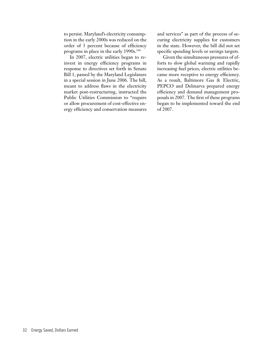to persist. Maryland's electricity consumption in the early 2000s was reduced on the order of 3 percent because of efficiency programs in place in the early 1990s.<sup>164</sup>

In 2007, electric utilities began to reinvest in energy efficiency programs in response to directives set forth in Senate Bill 1, passed by the Maryland Legislature in a special session in June 2006. The bill, meant to address flaws in the electricity market post-restructuring, instructed the Public Utilities Commission to "require or allow procurement of cost-effective energy efficiency and conservation measures and services" as part of the process of securing electricity supplies for customers in the state. However, the bill did not set specific spending levels or savings targets.

Given the simultaneous pressures of efforts to slow global warming and rapidly increasing fuel prices, electric utilities became more receptive to energy efficiency. As a result, Baltimore Gas & Electric, PEPCO and Delmarva prepared energy efficiency and demand management proposals in 2007. The first of these programs began to be implemented toward the end of 2007.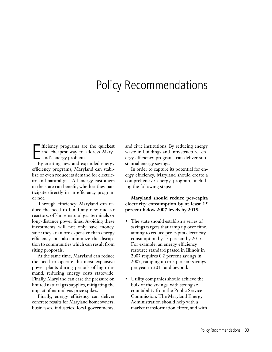# Policy Recommendations

Fificiency programs are<br>and cheapest way to a<br>land's energy problems. fficiency programs are the quickest and cheapest way to address Mary-

By creating new and expanded energy efficiency programs, Maryland can stabilize or even reduce its demand for electricity and natural gas. All energy customers in the state can benefit, whether they participate directly in an efficiency program or not.

Through efficiency, Maryland can reduce the need to build any new nuclear reactors, offshore natural gas terminals or long-distance power lines. Avoiding these investments will not only save money, since they are more expensive than energy efficiency, but also minimize the disruption to communities which can result from siting proposals.

At the same time, Maryland can reduce the need to operate the most expensive power plants during periods of high demand, reducing energy costs statewide. Finally, Maryland can ease the pressure on limited natural gas supplies, mitigating the impact of natural gas price spikes.

Finally, energy efficiency can deliver concrete results for Maryland homeowners, businesses, industries, local governments,

and civic institutions. By reducing energy waste in buildings and infrastructure, energy efficiency programs can deliver substantial energy savings.

In order to capture its potential for energy efficiency, Maryland should create a comprehensive energy program, including the following steps:

### **Maryland should reduce per-capita electricity consumption by at least 15 percent below 2007 levels by 2015.**

- The state should establish a series of savings targets that ramp up over time, aiming to reduce per-capita electricity consumption by 15 percent by 2015. For example, an energy efficiency resource standard passed in Illinois in 2007 requires 0.2 percent savings in 2007, ramping up to 2 percent savings per year in 2015 and beyond.
- Utility companies should achieve the bulk of the savings, with strong accountability from the Public Service Commission. The Maryland Energy Administration should help with a market transformation effort, and with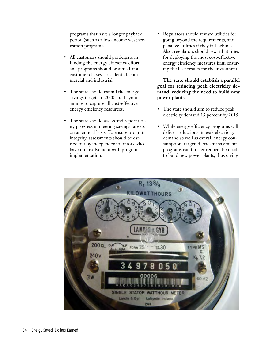programs that have a longer payback period (such as a low-income weatherization program).

- All customers should participate in funding the energy efficiency effort, and programs should be aimed at all customer classes—residential, commercial and industrial.
- The state should extend the energy savings targets to 2020 and beyond, aiming to capture all cost-effective energy efficiency resources.
- The state should assess and report utility progress in meeting savings targets on an annual basis. To ensure program integrity, assessments should be carried out by independent auditors who have no involvement with program implementation.

• Regulators should reward utilities for going beyond the requirements, and penalize utilities if they fall behind. Also, regulators should reward utilities for deploying the most cost-effective energy efficiency measures first, ensuring the best results for the investment.

**The state should establish a parallel goal for reducing peak electricity demand, reducing the need to build new power plants.**

- The state should aim to reduce peak electricity demand 15 percent by 2015.
- While energy efficiency programs will deliver reductions in peak electricity demand as well as overall energy consumption, targeted load-management programs can further reduce the need to build new power plants, thus saving

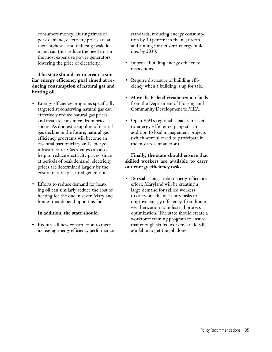consumers money. During times of peak demand, electricity prices are at their highest—and reducing peak demand can thus reduce the need to run the most expensive power generators, lowering the price of electricity.

### **The state should act to create a similar energy efficiency goal aimed at reducing consumption of natural gas and heating oil.**

- Energy efficiency programs specifically targeted at conserving natural gas can effectively reduce natural gas prices and insulate consumers from price spikes. As domestic supplies of natural gas decline in the future, natural gas efficiency programs will become an essential part of Maryland's energy infrastructure. Gas savings can also help to reduce electricity prices, since at periods of peak demand, electricity prices are determined largely by the cost of natural gas-fired generation.
- Efforts to reduce demand for heating oil can similarly reduce the cost of heating for the one in seven Maryland homes that depend upon this fuel.

### **In addition, the state should:**

• Require all new construction to meet increasing energy efficiency performance standards, reducing energy consumption by 30 percent in the near term and aiming for net zero-energy buildings by 2030.

- Improve building energy efficiency inspections.
- Require disclosure of building efficiency when a building is up for sale.
- Move the Federal Weatherization funds from the Department of Housing and Community Development to MEA.
- Open PJM's regional capacity market to energy efficiency projects, in addition to load management projects (which were allowed to participate in the most recent auction).

### **Finally, the state should ensure that skilled workers are available to carry out energy efficiency tasks.**

By establishing a robust energy efficiency effort, Maryland will be creating a large demand for skilled workers to carry out the necessary tasks to improve energy efficiency, from home weatherization to industrial process optimization. The state should create a workforce training program to ensure that enough skilled workers are locally available to get the job done.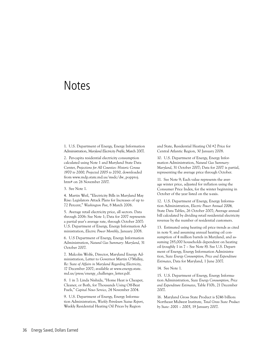# **Notes**

1. U.S. Department of Energy, Energy Information Administration, *Maryland Electricity Profile*, March 2007.

2. Per-capita residential electricity consumption calculated using Note 1 and Maryland State Data Center, *Projections for All Counties: Historic Census 1970 to 2000, Projected 2005 to 2030*, downloaded from www.mdp.state.md.us/msdc/dw\_popproj. htm# on 26 November 2007.

3. See Note 1.

4. Martin Weil, "Electricity Bills in Maryland May Rise: Legislators Attack Plans for Increases of up to 72 Percent," *Washington Post*, 8 March 2006.

5. Average retail electricity price, all sectors. Data through 2006: See Note 1; Data for 2007 represents a partial year's average rate, through October 2007: U.S. Department of Energy, Energy Information Administration, *Electric Power Monthly*, January 2008.

6. U.S Department of Energy, Energy Information Administration, *Natural Gas Summary: Maryland*, 31 October 2007.

7. Malcolm Wolfe, Director, Maryland Energy Administration, Letter to Governor Martin O'Malley, *Re: State of Affairs in Maryland Regarding Electricity*, 17 December 2007; available at www.energy.state. md.us/press/energy\_challenges\_letter.pdf.

8. 1 in 7: Linda Nishida, "Home Heat is Cheaper, Cleaner, or Both, for Thousands Using Off-Beat Fuels," *Capital News Service*, 24 November 2004.

9. U.S. Department of Energy, Energy Information Administration, *Weekly Petroleum Status Report*, Weekly Residential Heating Oil Prices by Region

and State, Residential Heating Oil #2 Price for Central Atlantic Region, 30 January 2008.

10. U.S. Department of Energy, Energy Information Administration, *Natural Gas Summary: Maryland*, 31 October 2007; Data for 2007 is partial, representing the average price through October.

11. See Note 9; Each value represents the average winter price, adjusted for inflation using the Consumer Price Index, for the winter beginning in October of the year listed on the x-axis.

12. U.S. Department of Energy, Energy Information Administration, *Electric Power Annual 2006,*  State Data Tables, 26 October 2007; Average annual bill calculated by dividing retail residential electricity revenue by the number of residential customers.

13. Estimated using heating oil price trends as cited in note 9, and assuming annual heating oil consumption of 4 million barrels in Maryland, and assuming 285,000 households dependent on heating oil (roughly 1 in 7 – See Note 8). See U.S. Department of Energy, Energy Information Administration, *State Energy Consumption, Price and Expenditure Estimates*, Data for Maryland, 1 June 2007.

14. See Note 1.

15. U.S. Department of Energy, Energy Information Administration, *State Energy Consumption, Price and Expenditure Estimates*, Table F10b, 21 December 2007.

16. Maryland Gross State Product is \$246 billion: Northeast Midwest Institute, *Total Gross State Product by State: 2001 – 2005*, 19 January 2007.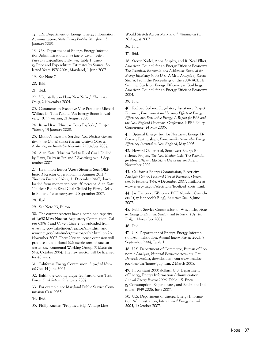17. U.S. Department of Energy, Energy Information Administration, *State Energy Profiles: Maryland*, 31 January 2008.

18. U.S. Department of Energy, Energy Information Administration, *State Energy Consumption, Price and Expenditure Estimates*, Table 1: Energy Price and Expenditure Estimates by Source, Selected Years 1970-2004, Maryland, 1 June 2007.

19. See Note 7.

20. Ibid.

21. Ibid.

22. "Constellation Plans New Nuke," *Electricity Daily*, 2 November 2005.

23. Comments by Executive Vice President Michael Wallace in: Tom Pelton, "An Energy Boom in Calvert," *Baltimore Sun*, 21 August 2005.

24. Russel Ray, "Nuclear Costs Explode," *Tampa Tribune*, 15 January 2008.

25. Moody's Investors Service, *New Nuclear Generation in the United States: Keeping Options Open vs. Addressing an Inevitable Necessity*, 2 October 2007.

26. Alan Katz, "Nuclear Bid to Rival Coal Chilled by Flaws, Delay in Finland," *Bloomberg.com*, 5 September 2007.

27. 1.5 million Euros: "Areva-Siemens Sees Olkiluoto 3 Reactor Operational in Summer 2011," *Thomson Financial News,* 31 December 2007, downloaded from money.cnn.com; 50 percent: Alan Katz, "Nuclear Bid to Rival Coal Chilled by Flaws, Delay in Finland," *Bloomberg.com*, 5 September 2007.

28. Ibid.

29. See Note 23, Pelton.

30. The current reactors have a combined capacity of 1,650 MW: Nuclear Regulatory Commission, *Calvert Cliffs 1* and *Calvert Cliffs 2*, downloaded from www.nrc.gov/info-finder/reactor/calv1.htm and www.nrc.gov/info-finder/reactor/calv2.html on 26 November 2007. Their 20-year license extension will produce an additional 626 metric tons of nuclear waste: Environmental Working Group, *X Marks the Spot*, October 2004. The new reactor will be licensed for 40 years.

31. California Energy Commission, *Liquefied Natural Gas*, 14 June 2005.

32. Baltimore County Liquefied Natural Gas Task Force, *Final Report*, 9 January 2007.

33. For example, see Maryland Public Service Commission Case 9035.

34. Ibid.

35. Philip Rucker, "Proposed High-Voltage Line

Would Stretch Across Maryland," *Washington Post*, 26 August 2007.

36. Ibid.

37. Ibid.

38. Steven Nadel, Anna Shipley, and R. Neal Elliot, American Council for an Energy-Efficient Economy, *The Technical, Economic, and Achievable Potential for Energy Efficiency in the U.S.—A Meta-Analysis of Recent Studies*, From the Proceedings of the 2004 ACEEE Summer Study on Energy Efficiency in Buildings, American Council for an Energy-Efficient Economy, 2004.

39. Ibid.

40. Richard Sedano, Regulatory Assistance Project, *Economic, Environment and Security Effects of Energy Efficiency and Renewable Energy: A Report for EPA and the New England Governors' Conference*, NEEP Policy Conference, 24 May 2005.

41. Optimal Energy, Inc. for Northeast Energy Efficiency Partnerships, *Economically Achievable Energy Efficiency Potential in New England*, May 2005.

42. Howard Geller et al, Southwest Energy Efficiency Project, *The New Mother Lode: The Potential for More Efficient Electricity Use in the Southwest*, November 2002.

43. California Energy Commission, Electricity Analysis Office, *Levelized Cost of Electricity Generation by Resource Type*, 4 December 2007, available at www.energy.ca.gov/electricity/levelized\_costs.html.

44. Jay Hancock, "Welcome BGE Number Crunchers," (Jay Hancock's Blog), *Baltimore Sun*, 8 June 2007.

45. Public Service Commission of Wisconsin, *Focus on Energy Evaluation: Semiannual Report (FY07, Year-End)*, 1 November 2007.

46. Ibid.

47. U.S. Department of Energy, Energy Information Administration, *Annual Energy Review 2003*, 7 September 2004, Table 1.1.

48. U.S. Department of Commerce, Bureau of Economic Analysis, *National Economic Accounts: Gross Domestic Product*, downloaded from www.bea.doc. gov/bea/dn/home/gdp.htm, 2 March 2005.

49. In constant 2000 dollars. U.S. Department of Energy, Energy Information Administration, *Annual Energy Review 2006*, Table 1.5: Energy Consumption, Expenditures, and Emissions Indicators, 1949-2006, June 2007.

50. U.S. Department of Energy, Energy Information Administration, *International Energy Annual 2005*, 1 October 2007.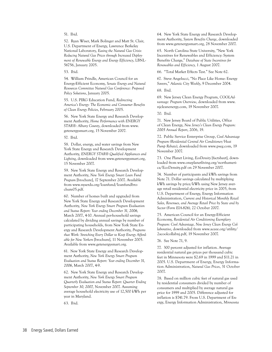#### 51. Ibid.

52. Ryan Wiser, Mark Bolinger and Matt St. Clair, U.S. Department of Energy, Lawrence Berkeley National Laboratory, *Easing the Natural Gas Crisis: Reducing Natural Gas Prices through Increased Deployment of Renewable Energy and Energy Efficiency*, LBNL-56756, January 2005.

53. Ibid.

54. William Prindle, American Council for an Energy-Efficient Economy, *Senate Energy and Natural Resources Committee Natural Gas Conference: Proposed Policy Solutions*, January 2005.

55. U.S. PIRG Education Fund, *Redirecting America's Energy: The Economic and Consumer Benefits of Clean Energy Policies*, February 2005.

56. New York State Energy and Research Development Authority, *Home Performance with ENERGY STAR®: Albany County*, downloaded from www. getenergysmart.org, 15 November 2007.

57. Ibid.

58. Dollar, energy, and water savings from New York State Energy and Research Development Authority, *ENERGY STAR® Qualified Appliances and Lighting*, downloaded from www.getenergysmart.org, 15 November 2007.

59. New York State Energy and Research Development Authority, *New York Energy Smart Loan Fund Program* [brochure], 17 September 2007. Available from www.nyserda.org/loanfund/loanfundbrochure05.pdf.

60. Number of homes built and upgraded from New York State Energy and Research Development Authority, *New York Energy Smart Program Evaluation and Status Report: Year ending December 31, 2006,* March 2007, 4-10. Annual per-household savings calculated by dividing annual savings by number of participating households, from New York State Energy and Research Development Authority, *Programs that Work: Stretching Every Dollar to Keep Energy Affordable for New Yorkers* [brochure], 11 November 2005. Available from www.getenergysmart.org.

61. New York State Energy and Research Development Authority, *New York Energy Smart Program Evaluation and Status Report: Year ending December 31, 2006*, March 2007, 4-9.

62. New York State Energy and Research Development Authority, *New York Energy Smart Program Quarterly Evaluation and Status Report: Quarter Ending September 30, 2007,* November 2007. Assuming average household electricity use of 12,500 kWh per year in Maryland.

63. Ibid.

64. New York State Energy and Research Development Authority, *System Benefits Charge*, downloaded from www.getenergysmart.org, 28 November 2007.

65. North Carolina State University, "New York Incentives for Renewables and Efficiency: System Benefits Charge," *Database of State Incentives for Renewables and Efficiency,* 1 August 2007.

66. "Total Market Effects Test." See Note 62.

67. Steve Angelucci, "No Place Like Home: Energy Savers," *Atlantic City Weekly*, 9 December 2004.

68. Ibid.

69. New Jersey Clean Energy Program, *COOLAdvantage: Program Overview*, downloaded from www. njcleanenergy.com, 19 November 2007.

70. Ibid.

71. New Jersey Board of Public Utilities, Office of Clean Energy, *New Jersey's Clean Energy Program: 2005 Annual Report*, 2006, 19.

72. Public Service Enterprise Group, *Cool Advantage Program (Residential Central Air Conditioner/Heat Pump Rebate)*, downloaded from www.pseg.com, 19 November 2007.

73. One Planet Living, *EcoDensity* [factsheet], downloaded from www.oneplanetliving.org/northamerica/EcoDensity.pdf on 29 November 2007.

74. Number of participants and kWh savings from Note 71. Dollar savings calculated by multiplying kWh savings by price/kWh using New Jersey average retail residential electricity price in 2005, from U.S. Department of Energy, Energy Information Administration, *Current and Historical Monthly Retail Sales, Revenues, and Average Retail Price by State and by Sector (Form EIA-826),* 22 October 2007.

75. American Council for an Energy-Efficient Economy, *Residential Air Conditioning Exemplary Program: Cool Advantage, New Jersey Clean Energy Collaborative*, downloaded from www.aceee.org/utility/ 2acoolcollabnj.pdf, 19 November 2007.

76. See Note 71, 9.

77. 300 percent adjusted for inflation. Average residential natural gas prices per thousand cubic feet in Minnesota were \$2.69 in 1999 and \$11.21 in 2005. U.S. Department of Energy, Energy Information Administration, *Natural Gas Prices*, 31 October 2007.

78. Based on million cubic feet of natural gas used by residential consumers divided by number of consumers and multiplied by average natural gas price for 1999 and 2005. Difference adjusted for inflation is \$741.79. From U.S. Department of Energy, Energy Information Administration, *Minnesota*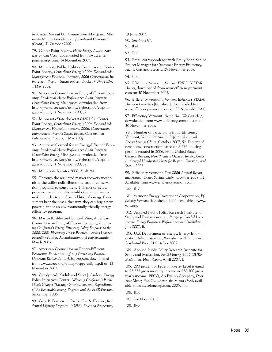*Residential Natural Gas Consumption (MMcf) and Minnesota Natural Gas Number of Residental Consumers (Count)*, 31 October 2007.

79. Center Point Energy, *Home Energy Audits: Save Energy, Cut Costs*, downloaded from www.centerpointenergy.com, 14 November 2007.

80. Minnesota Public Utilities Commission, Center Point Energy, *CenterPoint Energy's 2006 Demand-Side Management Financial Incentive, 2006 Conservation Improvement Program Status Report*, Docket # 04-821.04, 1 May 2007.

81. American Council for an Energy-Efficient Economy, *Residential Home Performance Audit Program: CenterPoint Energy Minnegasco*, downloaded from http://www.aceee.org/utility/ngbestprac/ctrptnrgyresadt.pdf, 14 November 2007, 2.

82. Minnesota State docket # 04-821.04. Center Point Energy, *CenterPoint Energy's 2006 Demand-Side Management Financial Incentive, 2006, Conservation Improvement Program Status Report. Conservation Improvement Program*, 1 May 2007.

83. American Council for an Energy-Efficient Economy, *Residential Home Performance Audit Program: CenterPoint Energy Minnegasco*, downloaded from http://www.aceee.org/utility/ngbestprac/ctrptnrgyresadt.pdf, 14 November 2007, 2.

84. Minnesota Statutes 2006, 216B.241.

85. Through the regulated market recovery mechanism, the utility redistributes the cost of conservation programs to consumers. This cost off-sets a price increase the utility would otherwise have to make in order to purchase additional energy. Consumers bear the cost either way: they can buy a new power plant or an environmentally-friendly energy efficiency program.

86. Martin Kushler and Edward Vine, American Council for an Energy-Efficient Economy, *Examining California's Energy Efficiency Policy Response to the 2000/2001 Electricity Crisis: Practical Lessons Learned Regarding Policies, Administration and Implementation*, March 2003.

87. American Council for an Energy-Efficient Economy, *Residential Lighting Exemplary Program: Upstream Residential Lighting Program*, downloaded from www.aceee.org/utility/6cpgereslight.pdf on 13 November 2007.

88. Carolyn Adi Kuduk and Scott J. Anders, Energy Policy Initiatives Center, *Following California's Public Goods Charge: Tracking Contributions and Expenditures of the Renewable Energy Program and the PIER Program*, September 2006.

89. Gary B. Fernstrom, Pacific Gas & Electric, *Residential Lighting Programs: PG&E's Role and Perspective*,

19 June 2007.

90. See Note 87.

91. Ibid.

92. Ibid.

93. Email correspondence with Emily Behr, Senior Project Manager for Customer Energy Efficiency, Pacific Gas and Electric, 29 November 2007.

94. Ibid.

95. Efficiency Vermont, *Vermont ENERGY STAR Homes*, downloaded from www.efficiencyvermont. com on 30 November 2007.

96. Efficiency Vermont, *Vermont ENERGY STAR® Homes – Incentives* [fact sheet], downloaded from www.efficiencyvermont.com on 30 November 2007.

97. Efficiency Vermont, *Here's How We Can Help*, downloaded from www.efficiencyvermont.com on 30 November 2007.

98. Number of participants from: Efficiency Vermont, *Year 2006 Annual Report and Annual Energy Savings Claim*, October 2007, 52. Percent of new home construction based on 2,626 housing permits granted in 2006. From United States Census Bureau, *New Privately Owned Housing Units Authorized Unadjusted Units for Regions, Divisions, and States*, 2006.

99. Efficiency Vermont, *Year 2006 Annual Report and Annual Energy Savings Claim*, October 2007, 52. Available from www.efficiencyvermont.com.

100. Ibid.

101. Vermont Energy Investment Corporation, *Efficiency Vermont* [fact sheet], 2004. Available at www. veic.org.

102. Applied Public Policy Research Institute for Study and Evaluation et al., *Ratepayer-Funded Low-Income Energy Programs: Performance and Possibilities*, July 2007, ii.

103. U.S. Department of Energy, Energy Information Administration, *Pennsylvania Natural Gas Residential Price*, 31 October 2007.

104. Applied Public Policy Research Institute for Study and Evaluation, *PECO Energy 2005 LIURP Evaluation, Final Report*, April 2007, i.

105. 200 percent of Federal Poverty Level is equal to \$3,225 gross monthly income or \$38,700 gross yearly income: PECO, An Exelon Company, *Does Your Money Run Out…Before the Month Does?*, available at www.exeloncorp.com, 2005, 13.

106. Ibid.

107. See Note 104, 8.

108. Ibid.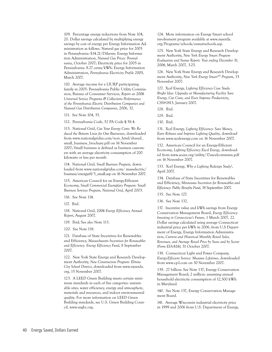109. Percentage energy reductions from Note 104, 20. Dollar savings calculated by multiplying energy savings by cost of energy per Energy Information Administration as follows. Natural gas price for 2005 in Pennsylvania: \$14.21/Dtherm: Energy Information Administration, *Natural Gas Prices: Pennsylvania*, October 2007; Electricity price for 2005 in Pennsylvania: 8.27 cents/kWh: Energy Information Administration, *Pennsylvania Electricity Profile 2005*, March 2007.

110. Average income for a LIURP participating family in 2005: Pennsylvania Public Utility Commission, Bureau of Consumer Services, *Report on 2006 Universal Service Programs & Collections Performance of the Pennsylvania Electric Distribution Companies and Natural Gas Distribution Companies*, 2006, 32.

111. See Note 104, 35.

112. Pennsylvania Code, 52 PA Code § 58.4.

113. National Grid, *Cut Your Energy Costs: We Reduced the Bottom Lines for Our Businesses*, downloaded from www.nationalgridus.com/non\_html/shared\_ small business brochure.pdf on 16 November 2007; Small business is defined as business customers with an average electricity consumption of 200 kilowatts or less per month

114. National Grid, *Small Business Program*, downloaded from www.nationalgridus.com/ masselectric/ business/energyeff/3\_small.asp on 16 November 2007.

115. American Council for an Energy-Efficient Economy, *Small Commercial Exemplary Program: Small Business Services Program, National Grid*, April 2003.

116. See Note 114.

117. Ibid.

118. National Grid, *2006 Energy Efficiency Annual Report*, August 2007.

119. Ibid; See also Note 113.

120. See Note 118.

121. Database of State Incentives for Renewables and Efficiency, *Massachusetts Incentives for Renewables and Efficiency: Energy Efficiency Fund*, 8 September 2007.

122. New York State Energy and Research Development Authority, *New Construction Program: Elmira City School District*, downloaded from www.nyserda. org, 15 November 2007.

123. A LEED Green Building meets certain minimum standards in each of five categories: sustainable sites, water efficiency, energy and atmosphere, materials and resources, and indoor environmental quality. For more information on LEED Green Building standards, see U.S. Green Building Council, www.usgbc.org.

124. More information on Energy Smart school involvement program available at www.nyserda. org/Programs/schools/esmartschools.asp.

125. New York State Energy and Research Development Authority, *New York Energy Smart Program Evaluation and Status Report: Year ending December 31, 2006*, March 2007, 3-25.

126. New York State Energy and Research Development Authority, *New York Energy SmartSM Program*, 15 November 2007.

127. Xcel Energy, *Lighting Efficiency Case Study: Bright Idea: Upgrades at Manufacturing Facility Save Energy, Cut Costs, and Even Improve Productivity*, CSS#1813, January 2007.

128. Ibid.

129. Ibid.

130. Ibid.

131. Xcel Energy, *Lighting Efficiency: Save Money, Earn Rebates and Improve Lighting Quality*, download from www.xcelenergy.com on 16 November 2007.

132. American Council for an Energy-Efficient Economy, *Lighting Efficiency Excel Energy*, downloaded from www.aceee.org/utility/17axcelcommmn.pdf on 16 November 2007.

133. Xcel Energy, *Why a Lighting Redesign Study?*, April 2007.

134. Database of State Incentives for Renewables and Efficiency, *Minnesota Incentives for Renewables and Efficiency: Public Benefits Fund*, 18 September 2007.

135. See Note 127.

136. See Note 132.

137. Incentive value and kWh savings from Energy Conservation Management Board, *Energy Efficiency: Investing in Connecticut's Future*, 1 March 2007, 22. Dollar savings calculated using average Connecticut industrial price per kWh in 2006, from U.S Department of Energy, Energy Information Administration, *Current and Historical Monthly Retail Sales, Revenues, and Average Retail Price by State and by Sector (Form EIA-826),* 31 October 2007.

138. Connecticut Light and Power Company, *Energy-Efficient Service: Measure Lifetimes*, downloaded from www.cp-l.com on 30 November 2007.

139. 27 billion: See Note 137, Energy Conservation Management Board; 2 million: assuming annual household electricity consumption of 12,500 kWh in Maryland.

140. See Note 137, Energy Conservation Management Board.

141. Average Wisconsin industrial electricity price in 1999 and 2006 from U.S. Department of Energy,